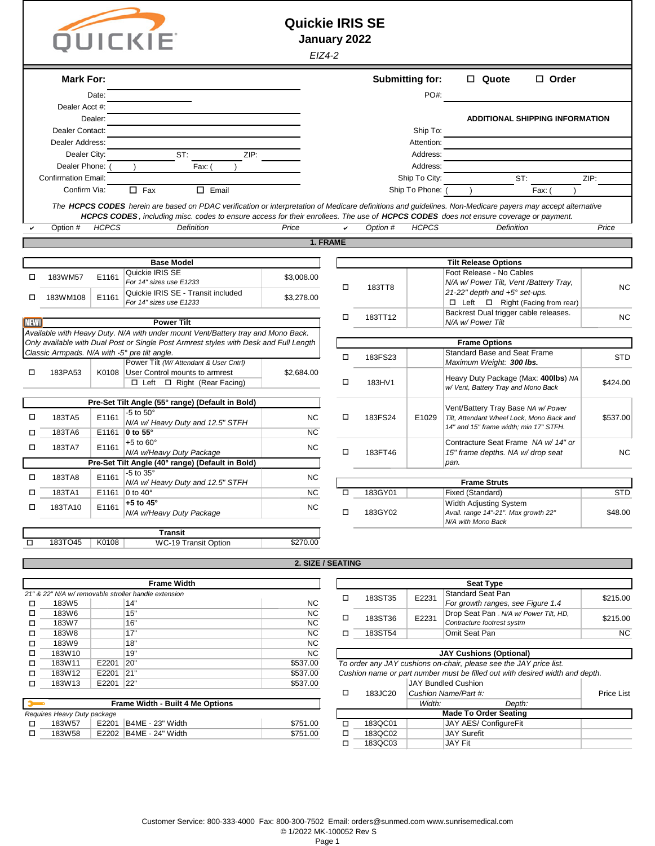| n l | UICKI |  |
|-----|-------|--|

## **Quickie IRIS SE**

**January 2022**

|               |                             |              |                                                                                                                                                                                                                                                                                                    | EIZ4-2            |                  |                    |                        |                                                                                 |            |
|---------------|-----------------------------|--------------|----------------------------------------------------------------------------------------------------------------------------------------------------------------------------------------------------------------------------------------------------------------------------------------------------|-------------------|------------------|--------------------|------------------------|---------------------------------------------------------------------------------|------------|
|               | <b>Mark For:</b>            |              |                                                                                                                                                                                                                                                                                                    |                   |                  |                    | <b>Submitting for:</b> | □ Quote<br>$\Box$ Order                                                         |            |
|               |                             | Date:        |                                                                                                                                                                                                                                                                                                    |                   |                  |                    | PO#:                   |                                                                                 |            |
|               | Dealer Acct #:              |              |                                                                                                                                                                                                                                                                                                    |                   |                  |                    |                        |                                                                                 |            |
|               |                             | Dealer:      |                                                                                                                                                                                                                                                                                                    |                   |                  |                    |                        | <b>ADDITIONAL SHIPPING INFORMATION</b>                                          |            |
|               | Dealer Contact:             |              |                                                                                                                                                                                                                                                                                                    |                   |                  |                    | Ship To:               |                                                                                 |            |
|               | Dealer Address:             |              |                                                                                                                                                                                                                                                                                                    |                   |                  |                    | Attention:             |                                                                                 |            |
|               | Dealer City:                |              | ST:<br>ZIP:                                                                                                                                                                                                                                                                                        |                   |                  |                    | Address:               |                                                                                 |            |
|               | Dealer Phone:               |              | Fax:                                                                                                                                                                                                                                                                                               |                   |                  |                    | Address:               |                                                                                 |            |
|               | <b>Confirmation Email:</b>  |              |                                                                                                                                                                                                                                                                                                    |                   |                  |                    | Ship To City:          | ST:                                                                             | ZIP:       |
|               | Confirm Via:                |              | $\Box$ Fax<br>$\Box$ Email                                                                                                                                                                                                                                                                         |                   |                  |                    | Ship To Phone: (       | Fax:                                                                            |            |
|               |                             |              | The HCPCS CODES herein are based on PDAC verification or interpretation of Medicare definitions and guidelines. Non-Medicare payers may accept alternative<br>HCPCS CODES, including misc. codes to ensure access for their enrollees. The use of HCPCS CODES does not ensure coverage or payment. |                   |                  |                    |                        |                                                                                 |            |
|               | Option #                    | <b>HCPCS</b> | <b>Definition</b>                                                                                                                                                                                                                                                                                  | Price             | ✓                | Option #           | <b>HCPCS</b>           | <b>Definition</b>                                                               | Price      |
|               |                             |              |                                                                                                                                                                                                                                                                                                    |                   | 1. FRAME         |                    |                        |                                                                                 |            |
|               |                             |              |                                                                                                                                                                                                                                                                                                    |                   |                  |                    |                        |                                                                                 |            |
|               |                             |              | <b>Base Model</b>                                                                                                                                                                                                                                                                                  |                   |                  |                    |                        | <b>Tilt Release Options</b>                                                     |            |
| □             | 183WM57                     | E1161        | Quickie IRIS SE                                                                                                                                                                                                                                                                                    | \$3,008.00        |                  |                    |                        | Foot Release - No Cables                                                        |            |
|               |                             |              | For 14" sizes use E1233<br>Quickie IRIS SE - Transit included                                                                                                                                                                                                                                      |                   | $\Box$           | 183TT8             |                        | N/A w/ Power Tilt, Vent /Battery Tray,<br>21-22" depth and +5° set-ups.         | <b>NC</b>  |
| □             | 183WM108                    | E1161        | For 14" sizes use E1233                                                                                                                                                                                                                                                                            | \$3,278.00        |                  |                    |                        | $\Box$ Left $\Box$ Right (Facing from rear)                                     |            |
|               |                             |              |                                                                                                                                                                                                                                                                                                    |                   | $\Box$           | 183TT12            |                        | Backrest Dual trigger cable releases.                                           | <b>NC</b>  |
| <b>NEW!</b>   |                             |              | <b>Power Tilt</b>                                                                                                                                                                                                                                                                                  |                   |                  |                    |                        | N/A w/ Power Tilt                                                               |            |
|               |                             |              | Available with Heavy Duty. N/A with under mount Vent/Battery tray and Mono Back.<br>Only available with Dual Post or Single Post Armrest styles with Desk and Full Length                                                                                                                          |                   |                  |                    |                        | <b>Frame Options</b>                                                            |            |
|               |                             |              | Classic Armpads. N/A with -5° pre tilt angle.                                                                                                                                                                                                                                                      |                   |                  |                    |                        | Standard Base and Seat Frame                                                    |            |
|               |                             |              | Power Tilt (W/ Attendant & User Cntrl)                                                                                                                                                                                                                                                             |                   | $\Box$           | 183FS23            |                        | Maximum Weight: 300 lbs.                                                        | <b>STD</b> |
| □             | 183PA53                     | K0108        | User Control mounts to armrest                                                                                                                                                                                                                                                                     | \$2,684.00        |                  |                    |                        | Heavy Duty Package (Max: 400lbs) NA                                             |            |
|               |                             |              | □ Left □ Right (Rear Facing)                                                                                                                                                                                                                                                                       |                   | □                | 183HV1             |                        | w/ Vent, Battery Tray and Mono Back                                             | \$424.00   |
|               |                             |              | Pre-Set Tilt Angle (55° range) (Default in Bold)                                                                                                                                                                                                                                                   |                   |                  |                    |                        |                                                                                 |            |
| □             | 183TA5                      | E1161        | -5 to $50^\circ$                                                                                                                                                                                                                                                                                   | <b>NC</b>         | □                | 183FS24            | E1029                  | Vent/Battery Tray Base NA w/ Power<br>Tilt, Attendant Wheel Lock, Mono Back and | \$537.00   |
|               |                             |              | N/A w/ Heavy Duty and 12.5" STFH                                                                                                                                                                                                                                                                   |                   |                  |                    |                        | 14" and 15" frame width; min 17" STFH.                                          |            |
| □             | 183TA6                      |              | E1161 0 to 55°<br>$+5$ to $60^\circ$                                                                                                                                                                                                                                                               | <b>NC</b>         |                  |                    |                        | Contracture Seat Frame NA w/14" or                                              |            |
| □             | 183TA7                      | E1161        | N/A w/Heavy Duty Package                                                                                                                                                                                                                                                                           | <b>NC</b>         | $\Box$           | 183FT46            |                        | 15" frame depths. NA w/ drop seat                                               | <b>NC</b>  |
|               |                             |              | Pre-Set Tilt Angle (40° range) (Default in Bold)                                                                                                                                                                                                                                                   |                   |                  |                    |                        | pan.                                                                            |            |
| □             | 183TA8                      | E1161        | -5 to 35°                                                                                                                                                                                                                                                                                          | <b>NC</b>         |                  |                    |                        |                                                                                 |            |
| □             | 183TA1                      |              | N/A w/ Heavy Duty and 12.5" STFH<br>E1161 0 to 40 $^{\circ}$                                                                                                                                                                                                                                       | NC                | □                | 183GY01            |                        | <b>Frame Struts</b><br>Fixed (Standard)                                         | <b>STD</b> |
|               |                             |              | +5 to $45^\circ$                                                                                                                                                                                                                                                                                   |                   |                  |                    |                        | Width Adjusting System                                                          |            |
| □             | 183TA10                     | E1161        | N/A w/Heavy Duty Package                                                                                                                                                                                                                                                                           | <b>NC</b>         | $\Box$           | 183GY02            |                        | Avail. range 14"-21". Max growth 22"                                            | \$48.00    |
|               |                             |              |                                                                                                                                                                                                                                                                                                    |                   |                  |                    |                        | N/A with Mono Back                                                              |            |
| $\Box$        | 183TO45                     | K0108        | <b>Transit</b><br><b>WC-19 Transit Option</b>                                                                                                                                                                                                                                                      | \$270.00          |                  |                    |                        |                                                                                 |            |
|               |                             |              |                                                                                                                                                                                                                                                                                                    |                   |                  |                    |                        |                                                                                 |            |
|               |                             |              |                                                                                                                                                                                                                                                                                                    | 2. SIZE / SEATING |                  |                    |                        |                                                                                 |            |
|               |                             |              |                                                                                                                                                                                                                                                                                                    |                   |                  |                    |                        |                                                                                 |            |
|               |                             |              | <b>Frame Width</b><br>21" & 22" N/A w/ removable stroller handle extension                                                                                                                                                                                                                         |                   |                  |                    |                        | <b>Seat Type</b><br>Standard Seat Pan                                           |            |
| □             | 183W <sub>5</sub>           |              | 14"                                                                                                                                                                                                                                                                                                | <b>NC</b>         | $\Box$           | 183ST35            | E2231                  | For growth ranges, see Figure 1.4                                               | \$215.00   |
| □             | 183W6                       |              | 15"                                                                                                                                                                                                                                                                                                | NC                | $\Box$           | 183ST36            | E2231                  | Drop Seat Pan - N/A w/ Power Tilt, HD,                                          | \$215.00   |
| □             | 183W7                       |              | 16"                                                                                                                                                                                                                                                                                                | NC                |                  |                    |                        | Contracture footrest systm                                                      |            |
| □<br>□        | 183W8<br>183W9              |              | 17"<br>18"                                                                                                                                                                                                                                                                                         | <b>NC</b><br>NC   | □                | 183ST54            |                        | Omit Seat Pan                                                                   | <b>NC</b>  |
| □             | 183W10                      |              | 19"                                                                                                                                                                                                                                                                                                | NC                |                  |                    |                        | <b>JAY Cushions (Optional)</b>                                                  |            |
| □             | 183W11                      | E2201 20"    |                                                                                                                                                                                                                                                                                                    | \$537.00          |                  |                    |                        | To order any JAY cushions on-chair, please see the JAY price list.              |            |
| □             | 183W12                      | E2201 21"    |                                                                                                                                                                                                                                                                                                    | \$537.00          |                  |                    |                        | Cushion name or part number must be filled out with desired width and depth.    |            |
| □             | 183W13                      | E2201 22"    |                                                                                                                                                                                                                                                                                                    | \$537.00          | $\Box$           | 183JC20            |                        | <b>JAY Bundled Cushion</b><br>Cushion Name/Part #:                              | Price List |
| $\rightarrow$ |                             |              | Frame Width - Built 4 Me Options                                                                                                                                                                                                                                                                   |                   |                  |                    | Width:                 | Depth:                                                                          |            |
|               | Requires Heavy Duty package |              |                                                                                                                                                                                                                                                                                                    |                   |                  |                    |                        | <b>Made To Order Seating</b>                                                    |            |
| □             | 183W57                      |              | E2201   B4ME - 23" Width                                                                                                                                                                                                                                                                           | \$751.00          | $\Box$           | 183QC01            |                        | JAY AES/ ConfigureFit                                                           |            |
| □             | 183W58                      |              | E2202   B4ME - 24" Width                                                                                                                                                                                                                                                                           | \$751.00          | $\Box$<br>$\Box$ | 183QC02<br>183QC03 |                        | <b>JAY Surefit</b><br><b>JAY Fit</b>                                            |            |
|               |                             |              |                                                                                                                                                                                                                                                                                                    |                   |                  |                    |                        |                                                                                 |            |
|               |                             |              |                                                                                                                                                                                                                                                                                                    |                   |                  |                    |                        |                                                                                 |            |
|               |                             |              |                                                                                                                                                                                                                                                                                                    |                   |                  |                    |                        |                                                                                 |            |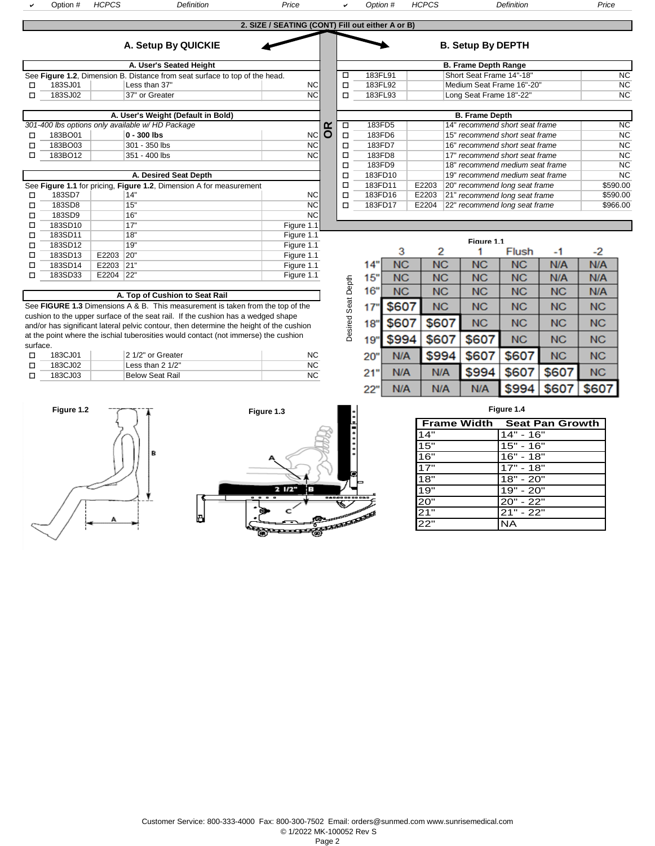a

Option # *HCPCS Definition Price* <sup>a</sup> *Option # HCPCS Definition Price*

|                   | 2. SIZE / SEATING (CONT) Fill out either A or B) |                          |
|-------------------|--------------------------------------------------|--------------------------|
| <b>By QUICKIE</b> |                                                  | <b>B. Setup By DEPTH</b> |

| A. Setup By QUICKII |  |  |  |
|---------------------|--|--|--|
|---------------------|--|--|--|

|         | A. User's Seated Height     |                                                                             |  |
|---------|-----------------------------|-----------------------------------------------------------------------------|--|
|         |                             |                                                                             |  |
| 183SJ01 | <b>NC</b><br>Less than 37"  |                                                                             |  |
| 183SJ02 | <b>NC</b><br>37" or Greater |                                                                             |  |
|         |                             | See Figure 1.2, Dimension B. Distance from seat surface to top of the head. |  |

|         | A. User's Weight (Default in Bold)              |    |          |   |        | <b>B. Frame Depth</b>                                                                                                                                                                                                                                                                                                                                                                |
|---------|-------------------------------------------------|----|----------|---|--------|--------------------------------------------------------------------------------------------------------------------------------------------------------------------------------------------------------------------------------------------------------------------------------------------------------------------------------------------------------------------------------------|
|         | 301-400 lbs options only available w/HD Package |    | $\alpha$ |   | 183FD5 | 14" recommend sho                                                                                                                                                                                                                                                                                                                                                                    |
| 183BO01 | 0 - 300 lbs                                     | NC |          |   | 183FD6 | 15" recommend sho                                                                                                                                                                                                                                                                                                                                                                    |
| 183BO03 | 301 - 350 lbs                                   | NC |          |   | 183FD7 | 16" recommend sho                                                                                                                                                                                                                                                                                                                                                                    |
| 183BO12 | 351 - 400 lbs                                   | NC |          |   | 183FD8 | 17" recommend sho                                                                                                                                                                                                                                                                                                                                                                    |
|         |                                                 |    |          | – | 100FBA | $\overline{40}$ $\overline{0}$ $\overline{1}$ $\overline{2}$ $\overline{2}$ $\overline{2}$ $\overline{2}$ $\overline{2}$ $\overline{2}$ $\overline{2}$ $\overline{2}$ $\overline{2}$ $\overline{2}$ $\overline{2}$ $\overline{2}$ $\overline{2}$ $\overline{2}$ $\overline{2}$ $\overline{2}$ $\overline{2}$ $\overline{2}$ $\overline{2}$ $\overline{2}$ $\overline{2}$ $\overline$ |

| A. Desired Seat Depth |         |       |                                                                     |                |  |   |
|-----------------------|---------|-------|---------------------------------------------------------------------|----------------|--|---|
|                       |         |       | See Figure 1.1 for pricing, Figure 1.2, Dimension A for measurement |                |  | ◻ |
|                       | 183SD7  |       | 14"                                                                 | N <sub>C</sub> |  | ◻ |
| □                     | 183SD8  |       | 15"                                                                 | <b>NC</b>      |  | п |
| п                     | 183SD9  |       | 16"                                                                 | <b>NC</b>      |  |   |
| □                     | 183SD10 |       | 17"                                                                 | Figure 1.1     |  |   |
| □                     | 183SD11 |       | 18"                                                                 | Figure 1.1     |  |   |
| □                     | 183SD12 |       | 19"                                                                 | Figure 1.1     |  |   |
| □                     | 183SD13 | E2203 | 20"                                                                 | Figure 1.1     |  |   |
| п                     | 183SD14 | E2203 | 21"                                                                 | Figure 1.1     |  |   |
| п                     | 183SD33 | E2204 | 22"                                                                 | Figure 1.1     |  |   |

|          | qure 1.2, Dimension B. Distance from seat surface to top of the head. |             | □      | 183FL91 |       | Short Seat Frame 14"-18"        | <b>NC</b> |
|----------|-----------------------------------------------------------------------|-------------|--------|---------|-------|---------------------------------|-----------|
| 183SJ01  | Less than 37"                                                         | <b>NCI</b>  | □      | 183FL92 |       | Medium Seat Frame 16"-20"       | <b>NC</b> |
| 183SJ02  | 37" or Greater                                                        | NC.         | $\Box$ | 183FL93 |       | Long Seat Frame 18"-22"         | NC        |
|          |                                                                       |             |        |         |       |                                 |           |
|          | A. User's Weight (Default in Bold)                                    |             |        |         |       | <b>B. Frame Depth</b>           |           |
|          | 0 lbs options only available w/HD Package                             |             | □      | 183FD5  |       | 14" recommend short seat frame  | <b>NC</b> |
| 183BO01  | 0 - 300 lbs                                                           | <b>NCIO</b> | ◻      | 183FD6  |       | 15" recommend short seat frame  | <b>NC</b> |
| 183BO03  | 301 - 350 lbs                                                         | NC.         | □      | 183FD7  |       | 16" recommend short seat frame  | <b>NC</b> |
| 183BO12  | 351 - 400 lbs                                                         | <b>NCI</b>  | □      | 183FD8  |       | 17" recommend short seat frame  | <b>NC</b> |
|          |                                                                       |             | □      | 183FD9  |       | 18" recommend medium seat frame | <b>NC</b> |
|          | A. Desired Seat Depth                                                 |             | □      | 183FD10 |       | 19" recommend medium seat frame | <b>NC</b> |
|          | <b>qure 1.1</b> for pricing, Figure 1.2, Dimension A for measurement  |             | □      | 183FD11 | E2203 | 20" recommend long seat frame   | \$590.00  |
| 183SD7   | 14"                                                                   | <b>NCI</b>  | □      | 183FD16 | E2203 | 21" recommend long seat frame   | \$590.00  |
| 183SD8   | 15"                                                                   | <b>NCI</b>  | □      | 183FD17 | E2204 | 22" recommend long seat frame   | \$966.00  |
| $\cdots$ | $\sim$ $\sim$ $\mu$                                                   | $\cdot$     |        |         |       |                                 |           |

**B. Frame Depth Range** 

| סש             |       | ιIJ                                                                                                                                        | ושטו           |            |  |
|----------------|-------|--------------------------------------------------------------------------------------------------------------------------------------------|----------------|------------|--|
| D <sub>9</sub> |       | 16"                                                                                                                                        | N <sub>C</sub> |            |  |
| 010            |       | 17"                                                                                                                                        | Figure 1.1     |            |  |
| )11            |       | 18"                                                                                                                                        | Figure 1.1     |            |  |
| 12             |       | 19"                                                                                                                                        | Figure 1.1     |            |  |
| 13             | E2203 | 20"                                                                                                                                        | Figure 1.1     |            |  |
| )14            | E2203 | 21"                                                                                                                                        | Figure 1.1     |            |  |
| 233            | E2204 | 22"                                                                                                                                        | Figure 1.1     |            |  |
|                |       |                                                                                                                                            |                |            |  |
|                |       |                                                                                                                                            |                |            |  |
|                |       | 1.3 Dimensions A & B. This measurement is taken from the top of the<br>a unnar aurface et the seat roil. If the suphier has a wedned shope |                | Seat Depth |  |
|                |       |                                                                                                                                            |                |            |  |

|            | Figure 1.1 |           |           |           |           |           |           |  |  |  |  |
|------------|------------|-----------|-----------|-----------|-----------|-----------|-----------|--|--|--|--|
|            |            | з         | 2         |           | Flush     | -1        | -2        |  |  |  |  |
|            | 14"        | <b>NC</b> | <b>NC</b> | <b>NC</b> | <b>NC</b> | N/A       | N/A       |  |  |  |  |
|            | 15"        | <b>NC</b> | <b>NC</b> | <b>NC</b> | <b>NC</b> | N/A       | N/A       |  |  |  |  |
|            | 16"        | <b>NC</b> | NC        | <b>NC</b> | <b>NC</b> | <b>NC</b> | N/A       |  |  |  |  |
| Seat Depth | 17'        | \$607     | <b>NC</b> | <b>NC</b> | <b>NC</b> | <b>NC</b> | <b>NC</b> |  |  |  |  |
| Desired    | 18"        | \$607     | \$607     | <b>NC</b> | <b>NC</b> | <b>NC</b> | <b>NC</b> |  |  |  |  |
|            | 19         | \$994     | \$607     | \$607     | <b>NC</b> | NC        | <b>NC</b> |  |  |  |  |
|            | 20"        | N/A       | \$994     | \$607     | \$607     | <b>NC</b> | <b>NC</b> |  |  |  |  |
|            | 21"        | N/A       | N/A       | \$994     | \$607     | \$607     | <b>NC</b> |  |  |  |  |
|            | 22"        | N/A       | N/A       | N/A       | \$994     | \$607     | \$607     |  |  |  |  |

See **FIGURE** cushion to the upper surface of the seat rail. If the cushion has a wedged shape and/or has significant lateral pelvic contour, then determine the height of the cushion at the point where the ischial tuberosities would contact (not immerse) the cushion surface.

| 183CJ01 | 2 1/2" or Greater |     |
|---------|-------------------|-----|
| 183CJ02 | Less than 2 1/2"  | NC. |
| 183CJ03 | Below Seat Rail   |     |





|  | Figure 1.4 |  |  |
|--|------------|--|--|
|  |            |  |  |

| l Frame Width                                   | <b>Seat Pan Growth</b> |
|-------------------------------------------------|------------------------|
| 14"                                             | 14" - 16"              |
| 15"                                             | $15" - 16"$            |
| 16"                                             | $16" - 18"$            |
| 17"                                             | $17" - 18"$            |
| 18"                                             | $18" - 20"$            |
|                                                 | $19" - 20"$            |
|                                                 | 20" - 22"              |
| $\frac{19}{19}$ $\frac{20}{21}$ $\frac{21}{22}$ | $21" - 22"$            |
|                                                 |                        |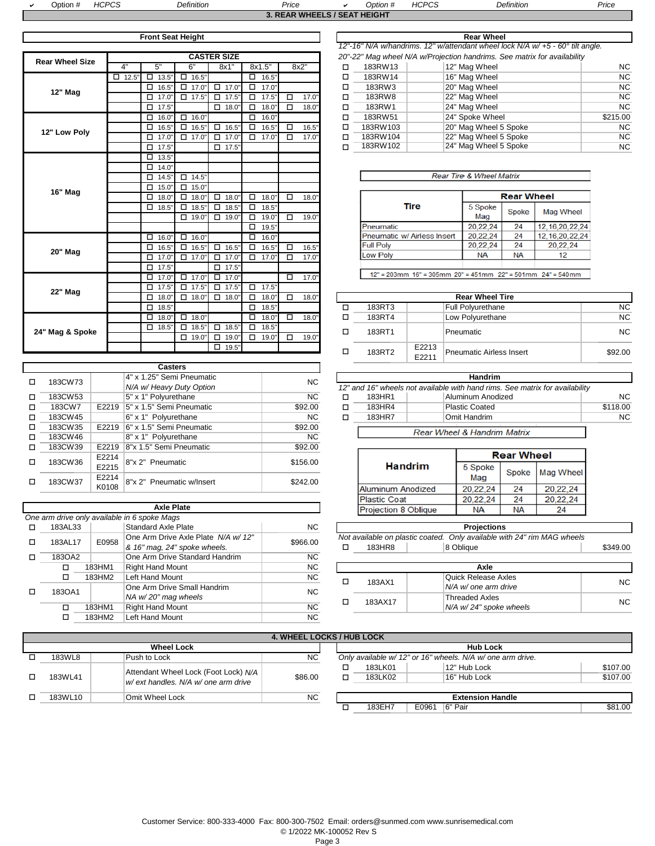| Dption #                     | HCPCS<br>$\cdot$ IC | $\mathcal D$ efinition | Price |  | <i>Option</i> # | <b>HCPCS</b> | Definition | Price |  |
|------------------------------|---------------------|------------------------|-------|--|-----------------|--------------|------------|-------|--|
| 3. REAR WHEELS / SEAT HEIGHT |                     |                        |       |  |                 |              |            |       |  |

|                        |              |                 |                 |                      |                 |        |       |   | $12 - 10$ TVA William Turns. IZ Wallengam Wiles Tour |                                                      |           |                        |    |
|------------------------|--------------|-----------------|-----------------|----------------------|-----------------|--------|-------|---|------------------------------------------------------|------------------------------------------------------|-----------|------------------------|----|
| <b>Rear Wheel Size</b> |              |                 |                 | <b>CASTER SIZE</b>   |                 |        |       |   |                                                      | 20"-22" Mag wheel N/A w/Projection handrims. See     |           |                        |    |
|                        | 4"           | 5"              | 6"              | 8x1"                 | 8x1.5"          |        | 8x2"  | □ | 183RW13                                              |                                                      |           | 12" Mag Wheel          |    |
|                        | $\Box$ 12.5" | 13.5'<br>$\Box$ | $\Box$ 16.5'    |                      | 16.5"<br>$\Box$ |        |       | □ | 183RW14                                              |                                                      |           | 16" Mag Wheel          |    |
| <b>12" Mag</b>         |              | 16.5'<br>□      | 17.0'<br>□      | $\Box$ 17.0"         | 17.0"<br>$\Box$ |        |       | □ | 183RW3                                               |                                                      |           | 20" Mag Wheel          |    |
|                        |              | 17.0'<br>□      | $\Box$ 17.5'    | 17.5"<br>$\Box$      | 17.5"<br>$\Box$ | $\Box$ | 17.0' | □ | 183RW8                                               |                                                      |           | 22" Mag Wheel          |    |
|                        |              | 17.5'<br>$\Box$ |                 | $\Box$ 18.0"         | $\Box$<br>18.0" | $\Box$ | 18.0" | □ | 183RW1                                               |                                                      |           | 24" Mag Wheel          |    |
|                        |              | 16.0'<br>п      | 16.0'<br>п      |                      | 16.0"<br>п      |        |       | п | 183RW51                                              |                                                      |           | 24" Spoke Wheel        |    |
| 12" Low Poly           |              | 16.5'<br>$\Box$ | $\Box$<br>16.5' | 16.5"<br>$\Box$      | $\Box$<br>16.5" | $\Box$ | 16.5" | □ | 183RW103                                             |                                                      |           | 20" Mag Wheel 5 Sp     |    |
|                        |              | 17.0'<br>□      | $\Box$ 17.0     | 17.0'<br>$\Box$      | $\Box$<br>17.0" | $\Box$ | 17.0' | □ | 183RW104                                             |                                                      |           | 22" Mag Wheel 5 Sp     |    |
|                        |              | 17.5"<br>п      |                 | 17.5"<br>п           |                 |        |       | п | 183RW102                                             |                                                      |           | 24" Mag Wheel 5 Sp     |    |
|                        |              | 13.5'<br>□      |                 |                      |                 |        |       |   |                                                      |                                                      |           |                        |    |
|                        |              | 14.0'<br>□      |                 |                      |                 |        |       |   |                                                      |                                                      |           |                        |    |
|                        |              | 14.5'<br>□      | $\square$ 14.5  |                      |                 |        |       |   |                                                      |                                                      |           | Rear Tire & Wheel Matı |    |
| <b>16" Mag</b>         |              | 15.0"<br>□      | $\Box$ 15.0     |                      |                 |        |       |   |                                                      |                                                      |           |                        |    |
|                        |              | 18.0'<br>□      | $\Box$<br>18.0  | $\Box$ 18.0"         | $\Box$<br>18.0" | $\Box$ | 18.0" |   |                                                      |                                                      |           |                        | Re |
|                        |              | 18.5"<br>$\Box$ | 18.5'<br>$\Box$ | $\square$ 18.5"      | $\Box$<br>18.5" |        |       |   |                                                      | Tire                                                 |           | 5 Spoke                | S  |
|                        |              |                 | $\Box$ 19.0     | $\Box$ 19.0"         | $\Box$<br>19.0' | $\Box$ | 19.0" |   |                                                      |                                                      |           | Mag                    |    |
|                        |              |                 |                 |                      | $\Box$<br>19.5" |        |       |   | Pneumatic                                            |                                                      |           | 20,22,24               |    |
|                        |              | 16.0'<br>$\Box$ | $\Box$<br>16.0' |                      | $\Box$<br>16.0" |        |       |   |                                                      | Pneumatic w/ Airless Insert                          |           | 20,22,24               |    |
| <b>20" Mag</b>         |              | 16.5'<br>□      | $\Box$<br>16.5' | п<br>16.5"           | 16.5"<br>$\Box$ | $\Box$ | 16.5" |   | <b>Full Polv</b>                                     |                                                      |           | 20,22,24               |    |
|                        |              | 17.0'<br>□      | $\Box$ 17.0     | $\Box$<br>17.0"      | $\Box$<br>17.0" | $\Box$ | 17.0' |   | Low Poly                                             |                                                      |           | <b>NA</b>              |    |
|                        |              | $\Box$<br>17.5' |                 | $\Box$<br>17.5'      |                 |        |       |   |                                                      |                                                      |           |                        |    |
|                        |              | 17.0'<br>$\Box$ | $\Box$ 17.0"    | $\Box$<br>17.0'      |                 | $\Box$ | 17.0' |   |                                                      | $12" = 203$ mm $16" = 305$ mm $20" = 451$ mm $22" =$ |           |                        |    |
| 22" Mag                |              | 17.5'<br>$\Box$ | $\Box$ 17.5'    | $\overline{D}$ 17.5" | $\Box$<br>17.5" |        |       |   |                                                      |                                                      |           |                        |    |
|                        |              | 18.0'<br>$\Box$ | $\Box$ 18.0     | $\Box$ 18.0"         | $\Box$<br>18.0" | $\Box$ | 18.0' |   |                                                      |                                                      |           | <b>Rear Wheel Tire</b> |    |
|                        |              | 18.5'<br>$\Box$ |                 |                      | $\Box$<br>18.5" |        |       | п | 183RT3                                               |                                                      |           | Full Polyurethane      |    |
|                        |              | $\Box$<br>18.0" | $\Box$ 18.0"    |                      | $\Box$<br>18.0" | $\Box$ | 18.0" | □ | 183RT4                                               |                                                      |           | Low Polyurethane       |    |
|                        |              | 18.5'<br>$\Box$ | $\Box$<br>18.5' | $\square$ 18.5"      | $\Box$<br>18.5" |        |       | □ | 183RT1                                               |                                                      | Pneumatic |                        |    |
| 24" Mag & Spoke        |              |                 | $\Box$ 19.0     | $\Box$ 19.0          | П.<br>19.0"     | п      | 19.0" |   |                                                      |                                                      |           |                        |    |
|                        |              |                 |                 | $\Box$ 19.5"         |                 |        |       | − | 102DT2                                               | E2213                                                |           | Desumatio Airlang In   |    |

|   |         |       | <b>Casters</b>            |           |   |                                                 |                                 |                       |  |
|---|---------|-------|---------------------------|-----------|---|-------------------------------------------------|---------------------------------|-----------------------|--|
| □ | 183CW73 |       | 4" x 1.25" Semi Pneumatic | NC.       |   |                                                 |                                 | Handrim               |  |
|   |         |       | N/A w/ Heavy Duty Option  |           |   | 12" and 16" wheels not available with hand rims |                                 |                       |  |
| п | 183CW53 |       | 5" x 1" Polyurethane      | <b>NC</b> | □ | 183HR1                                          |                                 | Aluminum Anod         |  |
| □ | 183CW7  | E2219 | 5" x 1.5" Semi Pneumatic  | \$92.00   | □ | 183HR4                                          |                                 | <b>Plastic Coated</b> |  |
| □ | 183CW45 |       | 6" x 1" Polyurethane      | <b>NC</b> | □ | 183HR7                                          |                                 | Omit Handrim          |  |
| □ | 183CW35 | E2219 | 6" x 1.5" Semi Pneumatic  | \$92.00   |   |                                                 | <b>Rear Wheel &amp; Handrin</b> |                       |  |
| □ | 183CW46 |       | 8" x 1" Polyurethane      | <b>NC</b> |   |                                                 |                                 |                       |  |
| □ | 183CW39 | E2219 | 8"x 1.5" Semi Pneumatic   | \$92.00   |   |                                                 |                                 |                       |  |
|   |         | E2214 |                           |           |   |                                                 |                                 | R                     |  |
| п | 183CW36 | E2215 | 8"x 2" Pneumatic          | \$156.00  |   |                                                 | <b>Handrim</b>                  | 5 Spoke               |  |
| п | 183CW37 | E2214 | 8"x 2" Pneumatic w/Insert | \$242.00  |   |                                                 |                                 | Mag                   |  |
|   |         | K0108 |                           |           |   | <b>Aluminum Anodized</b>                        |                                 | 20,22,24              |  |
|   |         |       |                           |           |   |                                                 |                                 |                       |  |

|         |        |                                              |           |   |                                                           |                    | -----                      |   |  |
|---------|--------|----------------------------------------------|-----------|---|-----------------------------------------------------------|--------------------|----------------------------|---|--|
|         |        | <b>Axle Plate</b>                            |           |   | <b>Projection 8 Oblique</b>                               |                    | <b>NA</b>                  | N |  |
|         |        | One arm drive only available in 6 spoke Mags |           |   |                                                           |                    |                            |   |  |
| 183AL33 |        | <b>Standard Axle Plate</b>                   | NC.       |   |                                                           | <b>Projections</b> |                            |   |  |
| 183AL17 | E0958  | One Arm Drive Axle Plate N/A w/ 12"          | \$966.00  |   | Only available with 2<br>Not available on plastic coated. |                    |                            |   |  |
|         |        | & 16" mag, 24" spoke wheels.                 |           | ⊏ | 183HR8                                                    |                    | 8 Oblique                  |   |  |
| 183OA2  |        | One Arm Drive Standard Handrim               | NC.       |   |                                                           |                    |                            |   |  |
| □       | 183HM1 | <b>Right Hand Mount</b>                      | NC.       |   |                                                           |                    | Axle                       |   |  |
| □       | 183HM2 | Left Hand Mount                              | NC.       | ⊏ | 183AX1                                                    |                    | <b>Quick Release Axles</b> |   |  |
| 183OA1  |        | One Arm Drive Small Handrim                  | NC.       |   |                                                           |                    | N/A w/ one arm drive       |   |  |
|         |        | NA w/20" mag wheels                          |           | □ | 183AX17                                                   |                    | <b>Threaded Axles</b>      |   |  |
| п       | 183HM1 | <b>Right Hand Mount</b>                      | <b>NC</b> |   |                                                           |                    | N/A w/24" spoke whe        |   |  |
| □       | 183HM2 | Left Hand Mount                              | NC.       |   |                                                           |                    |                            |   |  |

|       | <b>Front Seat Height</b> |             |                    |            |   |       |          | <b>Rear Wheel</b>                                                                          |           |
|-------|--------------------------|-------------|--------------------|------------|---|-------|----------|--------------------------------------------------------------------------------------------|-----------|
|       |                          |             |                    |            |   |       |          | 12"-16" N/A w/handrims. 12" w/attendant wheel lock N/A w/ $+5$ - 60 $^{\circ}$ tilt angle. |           |
|       |                          |             | <b>CASTER SIZE</b> |            |   |       |          | 20"-22" Mag wheel N/A w/Projection handrims. See matrix for availability                   |           |
|       | 5"                       | 6"          | 8x1"               | 8x1.5"     |   | 8x2"  | 183RW13  | 12" Mag Wheel                                                                              | <b>NC</b> |
| 12.5" | □<br>13.5"               | 16.5"<br>□  |                    | 16.5"<br>п |   |       | 183RW14  | 16" Mag Wheel                                                                              | <b>NC</b> |
|       | $\Box$ 16.5'             | 17.0'<br>п. | 17.0"<br>┑         | 17.0"      |   |       | 183RW3   | 20" Mag Wheel                                                                              | <b>NC</b> |
|       | $\Box$ 17.0'             | □<br>17.5'  | 17.5"<br>□         | 17.5"<br>п | п | 17.0" | 183RW8   | 22" Mag Wheel                                                                              | <b>NC</b> |
|       | $\Box$ 17.5"             |             | 18.0"<br>□         | 18.0"<br>◻ | □ | 18.0" | 183RW1   | 24" Mag Wheel                                                                              | <b>NC</b> |
|       | $\Box$ 16.0              | 16.0"<br>⊓  |                    | 16.0"      |   |       | 183RW51  | 24" Spoke Wheel                                                                            | \$215.00  |
|       | $\Box$ 16.5"             | 16.5"       | $\Box$<br>16.5"    | 16.5"<br>п | п | 16.5" | 183RW103 | 20" Mag Wheel 5 Spoke                                                                      | <b>NC</b> |
|       | $\Box$ 17.0"             | п.<br>17.0' | п.<br>17.0"        | 17.0"<br>п | п | 17.0" | 183RW104 | 22" Mag Wheel 5 Spoke                                                                      | <b>NC</b> |
|       | $\Box$ 17.5"             |             | 17.5"<br>┑         |            |   |       | 183RW102 | 24" Mag Wheel 5 Spoke                                                                      | <b>NC</b> |

| <b>Rear Tire &amp; Wheel Matrix</b> |                   |           |                    |  |  |  |  |  |
|-------------------------------------|-------------------|-----------|--------------------|--|--|--|--|--|
|                                     | <b>Rear Wheel</b> |           |                    |  |  |  |  |  |
| Tire                                | 5 Spoke<br>Mag    | Spoke     | <b>Mag Wheel</b>   |  |  |  |  |  |
| Pneumatic                           | 20.22.24          | 24        | 12, 16, 20, 22, 24 |  |  |  |  |  |
| <b>Pneumatic w/ Airless Insert</b>  | 20.22.24          | 24        | 12, 16, 20, 22, 24 |  |  |  |  |  |
| <b>Full Poly</b>                    | 20,22,24          | 24        | 20,22,24           |  |  |  |  |  |
| <b>Low Poly</b>                     | NА                | <b>NA</b> | 12                 |  |  |  |  |  |
|                                     |                   |           |                    |  |  |  |  |  |

 $12" = 203$ mm  $16" = 305$ mm  $20" = 451$ mm  $22" = 501$ mm  $24" = 540$ mm

| <b>Rear Wheel Tire</b> |                            |                                 |           |  |  |  |  |  |  |
|------------------------|----------------------------|---------------------------------|-----------|--|--|--|--|--|--|
| 183RT3                 |                            | Full Polyurethane               | <b>NC</b> |  |  |  |  |  |  |
| 183RT4                 |                            | Low Polyurethane                | <b>NC</b> |  |  |  |  |  |  |
| 183RT1                 |                            | Pneumatic                       | NC.       |  |  |  |  |  |  |
| 183RT2                 | E2213<br>F <sub>2211</sub> | <b>Pneumatic Airless Insert</b> | \$92.00   |  |  |  |  |  |  |

| <b>Handrim</b>                                                               |        |                                        |                |  |  |  |  |  |
|------------------------------------------------------------------------------|--------|----------------------------------------|----------------|--|--|--|--|--|
| 12" and 16" wheels not available with hand rims. See matrix for availability |        |                                        |                |  |  |  |  |  |
|                                                                              | 183HR1 | Aluminum Anodized                      | NC.            |  |  |  |  |  |
|                                                                              | 183HR4 | <b>Plastic Coated</b>                  | \$118.00       |  |  |  |  |  |
|                                                                              | 183HR7 | Omit Handrim                           | N <sub>C</sub> |  |  |  |  |  |
|                                                                              |        |                                        |                |  |  |  |  |  |
|                                                                              |        | <b>Rear Wheel &amp; Handrim Matrix</b> |                |  |  |  |  |  |

|                             | <b>Rear Wheel</b> |    |                   |  |  |  |
|-----------------------------|-------------------|----|-------------------|--|--|--|
| <b>Handrim</b>              | 5 Spoke<br>Mag    |    | Spoke   Mag Wheel |  |  |  |
| <b>Aluminum Anodized</b>    | 20.22.24          | 24 | 20,22,24          |  |  |  |
| <b>Plastic Coat</b>         | 20.22.24          | 24 | 20,22,24          |  |  |  |
| <b>Projection 8 Oblique</b> | NA                | ΝA | 24                |  |  |  |

| Standard Axle Plate                 | <b>NC</b> |   |        | <b>Projections</b>                                                      |          |
|-------------------------------------|-----------|---|--------|-------------------------------------------------------------------------|----------|
| One Arm Drive Axle Plate N/A w/ 12" | \$966.00  |   |        | Not available on plastic coated. Only available with 24" rim MAG wheels |          |
| & 16" mag, 24" spoke wheels.        |           | − | 183HR8 | 8 Oblique                                                               | \$349.00 |
| One Arm Drive Standard Handrim      | NC.       |   |        |                                                                         |          |
| Right Hand Mount                    | ΝC        |   |        | Axle                                                                    |          |

| ו ועוו וטט ו | $\overline{\phantom{a}}$ n in Figura Iviount | טוי       |  |         | <b>AAIG</b>              |    |
|--------------|----------------------------------------------|-----------|--|---------|--------------------------|----|
| 183HM2       | Left Hand Mount                              | <b>NC</b> |  |         | Quick Release Axles      | ΝC |
|              | One Arm Drive Small Handrim                  | ΝC        |  | 183AX1  | ↓N/A w/ one arm drive    |    |
|              | NA w/20" mag wheels                          |           |  | 183AX17 | Threaded Axles           | ΝC |
| 183HM1       | Right Hand Mount                             | <b>NC</b> |  |         | $N/A$ w/24" spoke wheels |    |

| <b>4. WHEEL LOCKS / HUB LOCK</b> |                                                                              |           |  |                                                            |       |                              |  |                      |
|----------------------------------|------------------------------------------------------------------------------|-----------|--|------------------------------------------------------------|-------|------------------------------|--|----------------------|
|                                  |                                                                              |           |  |                                                            |       |                              |  |                      |
|                                  | <b>Wheel Lock</b>                                                            |           |  |                                                            |       | <b>Hub Lock</b>              |  |                      |
| 183WL8                           | Push to Lock                                                                 | <b>NC</b> |  | Only available w/ 12" or 16" wheels. N/A w/ one arm drive. |       |                              |  |                      |
| 183WL41                          | Attendant Wheel Lock (Foot Lock) N/A<br>w/ ext handles. N/A w/ one arm drive | \$86.00   |  | 183LK01<br>183LK02                                         |       | 12" Hub Lock<br>16" Hub Lock |  | \$107.00<br>\$107.00 |
| 183WL10                          | Omit Wheel Lock                                                              | <b>NC</b> |  |                                                            |       | <b>Extension Handle</b>      |  |                      |
|                                  |                                                                              |           |  | 183EH7                                                     | E0961 | 6" Pair                      |  | \$81.00              |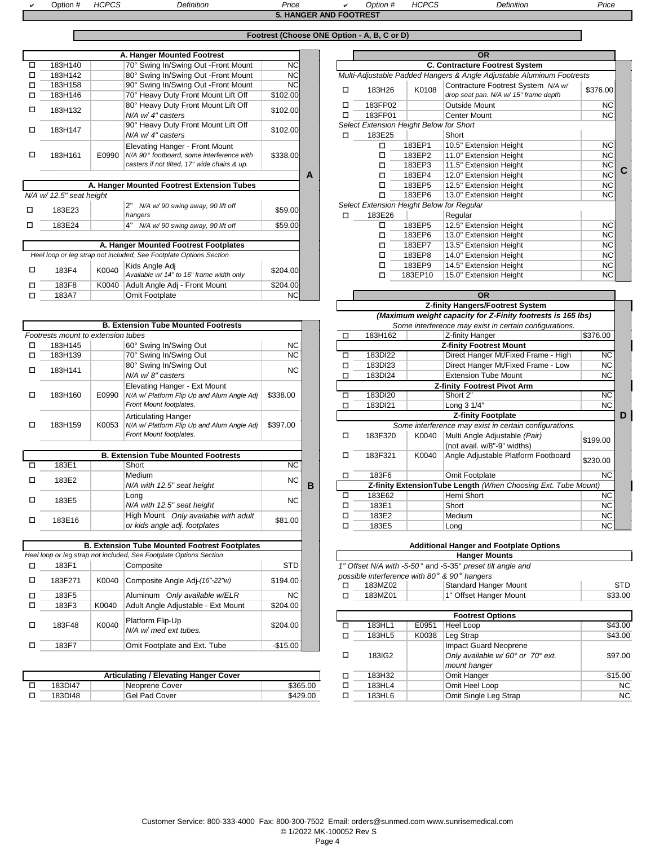a

 Option # *HCPCS Definition Price* <sup>a</sup> *Option # HCPCS Definition Price* Option #<br>**REST** 

|        |                          |       |                                                                                                                             |                       |   | 5. HANGER AND FOOTREST |                                                   |                            |                                                                             |                                     |
|--------|--------------------------|-------|-----------------------------------------------------------------------------------------------------------------------------|-----------------------|---|------------------------|---------------------------------------------------|----------------------------|-----------------------------------------------------------------------------|-------------------------------------|
|        |                          |       |                                                                                                                             |                       |   |                        | Footrest (Choose ONE Option - A, B, C or D)       |                            |                                                                             |                                     |
|        |                          |       | A. Hanger Mounted Footrest                                                                                                  |                       |   |                        |                                                   |                            | <b>OR</b>                                                                   |                                     |
| ◻      | 183H140                  |       | 70° Swing In/Swing Out - Front Mount                                                                                        | <b>NC</b>             |   |                        |                                                   |                            | <b>C. Contracture Footrest System</b>                                       |                                     |
| □      | 183H142                  |       | 80° Swing In/Swing Out -Front Mount                                                                                         | <b>NC</b>             |   |                        |                                                   |                            | Multi-Adjustable Padded Hangers & Angle Adjustable Aluminum Footrests       |                                     |
| ◻<br>◻ | 183H158<br>183H146       |       | 90° Swing In/Swing Out -Front Mount<br>70° Heavy Duty Front Mount Lift Off                                                  | <b>NC</b><br>\$102.00 |   | □                      | 183H26                                            | K0108                      | Contracture Footrest System N/A w/<br>drop seat pan. N/A w/ 15" frame depth | \$376.00                            |
| п      | 183H132                  |       | 80° Heavy Duty Front Mount Lift Off<br>N/A w/ 4" casters                                                                    | \$102.00              |   | Л<br>Л                 | 183FP02<br>183FP01                                |                            | Outside Mount<br><b>Center Mount</b>                                        | <b>NC</b><br><b>NC</b>              |
| □      | 183H147                  |       | 90° Heavy Duty Front Mount Lift Off<br>N/A w/ 4" casters                                                                    | \$102.00              |   | $\Box$                 | Select Extension Height Below for Short<br>183E25 |                            | Short                                                                       |                                     |
| ◻      | 183H161                  | E0990 | Elevating Hanger - Front Mount<br>N/A 90° footboard, some interference with<br>casters if not tilted, 17" wide chairs & up. | \$338.00              |   |                        | □<br>◻<br>◻                                       | 183EP1<br>183EP2<br>183EP3 | 10.5" Extension Height<br>11.0" Extension Height<br>11.5" Extension Height  | <b>NC</b><br><b>NC</b><br><b>NC</b> |
|        |                          |       | A. Hanger Mounted Footrest Extension Tubes                                                                                  |                       | A |                        | ◻<br>◻                                            | 183EP4<br>183EP5           | 12.0" Extension Height<br>12.5" Extension Height                            | <b>NC</b><br><b>NC</b>              |
|        | N/A w/ 12.5" seat height |       |                                                                                                                             |                       |   |                        | п                                                 | 183EP6                     | 13.0" Extension Height                                                      | <b>NC</b>                           |
| □      | 183E23                   |       | N/A w/90 swing away, 90 lift off<br>hangers                                                                                 | \$59.00               |   | $\Box$                 | 183E26                                            |                            | Select Extension Height Below for Regular<br>Regular                        |                                     |
| п      | 183E24                   |       | N/A w/90 swing away, 90 lift off                                                                                            | \$59.00               |   |                        | □                                                 | 183EP5                     | 12.5" Extension Height                                                      | <b>NC</b>                           |
|        |                          |       |                                                                                                                             |                       |   |                        |                                                   | $102E$ DC                  | 12 0" Evtension Hojaht                                                      | $\overline{N}$                      |

|                                                      |       | A. Hanger Mounted Footrest Footplates                              |          |  | 183EP7                                                                                                                                                                                                                                                                                                                                                                               | 13.5" Extensi |               |
|------------------------------------------------------|-------|--------------------------------------------------------------------|----------|--|--------------------------------------------------------------------------------------------------------------------------------------------------------------------------------------------------------------------------------------------------------------------------------------------------------------------------------------------------------------------------------------|---------------|---------------|
|                                                      |       | Heel loop or leg strap not included. See Footplate Options Section |          |  | 183EP8                                                                                                                                                                                                                                                                                                                                                                               | 14.0" Extensi |               |
| 183F4                                                | K0040 | Kids Angle Adj                                                     |          |  |                                                                                                                                                                                                                                                                                                                                                                                      | 183EP9        | 14.5" Extensi |
| \$204.00<br>Available w/ 14" to 16" frame width only |       |                                                                    |          |  |                                                                                                                                                                                                                                                                                                                                                                                      | 183EP10       | 15.0" Extensi |
| 183F8                                                |       | K0040 Adult Angle Adj - Front Mount                                | \$204.00 |  |                                                                                                                                                                                                                                                                                                                                                                                      |               |               |
| NCI<br>Omit Footplate<br>183A7                       |       |                                                                    |          |  |                                                                                                                                                                                                                                                                                                                                                                                      |               | OR.           |
|                                                      |       |                                                                    |          |  | $\overline{2}$ $\overline{1}$ $\overline{2}$ $\overline{3}$ $\overline{4}$ $\overline{2}$ $\overline{3}$ $\overline{4}$ $\overline{1}$ $\overline{2}$ $\overline{2}$ $\overline{1}$ $\overline{2}$ $\overline{2}$ $\overline{2}$ $\overline{2}$ $\overline{2}$ $\overline{2}$ $\overline{2}$ $\overline{2}$ $\overline{2}$ $\overline{2}$ $\overline{2}$ $\overline{2}$ $\overline{$ |               |               |

|   |                                    |       | <b>B. Extension Tube Mounted Footrests</b>                         |            |   |        |         |       | Some interference may exist in certain configurat          |
|---|------------------------------------|-------|--------------------------------------------------------------------|------------|---|--------|---------|-------|------------------------------------------------------------|
|   | Footrests mount to extension tubes |       |                                                                    |            |   | □      | 183H162 |       | Z-finity Hanger                                            |
| □ | 183H145                            |       | 60° Swing In/Swing Out                                             | <b>NC</b>  |   |        |         |       | <b>Z-finity Footrest Mount</b>                             |
| □ | 183H139                            |       | 70° Swing In/Swing Out                                             | <b>NC</b>  |   | □      | 183DI22 |       | Direct Hanger Mt/Fixed Frame - H                           |
|   |                                    |       | 80° Swing In/Swing Out                                             | <b>NC</b>  |   | п      | 183DI23 |       | Direct Hanger Mt/Fixed Frame - L                           |
| □ | 183H141                            |       | N/A w/8" casters                                                   |            |   | П      | 183DI24 |       | <b>Extension Tube Mount</b>                                |
|   |                                    |       | Elevating Hanger - Ext Mount                                       |            |   |        |         |       | <b>Z-finity Footrest Pivot Arm</b>                         |
| □ | 183H160                            | E0990 | N/A w/ Platform Flip Up and Alum Angle Adj                         | \$338.00   |   | $\Box$ | 183DI20 |       | Short 2"                                                   |
|   |                                    |       | Front Mount footplates.                                            |            |   | П      | 183DI21 |       | Long 3 1/4"                                                |
|   |                                    |       | <b>Articulating Hanger</b>                                         |            |   |        |         |       | <b>Z-finity Footplate</b>                                  |
| □ | 183H159                            | K0053 | N/A w/ Platform Flip Up and Alum Angle Adj                         | \$397.00   |   |        |         |       | Some interference may exist in certain configurat          |
|   |                                    |       | Front Mount footplates.                                            |            |   | □      | 183F320 | K0040 | Multi Angle Adjustable (Pair)                              |
|   |                                    |       |                                                                    |            |   |        |         |       | (not avail. w/8"-9" widths)                                |
|   |                                    |       | <b>B. Extension Tube Mounted Footrests</b>                         |            |   | п      | 183F321 | K0040 | Angle Adjustable Platform Footbo                           |
| п | 183E1                              |       | Short                                                              | NC         |   |        |         |       |                                                            |
| □ | 183E2                              |       | Medium                                                             | <b>NC</b>  |   | п      | 183F6   |       | Omit Footplate                                             |
|   |                                    |       | N/A with 12.5" seat height                                         |            | B |        |         |       | Z-finity ExtensionTube Length (When Choosing Ext. 1        |
| □ | 183E5                              |       | Long                                                               | <b>NC</b>  |   | п      | 183E62  |       | Hemi Short                                                 |
|   |                                    |       | N/A with 12.5" seat height                                         |            |   | □      | 183E1   |       | Short                                                      |
| □ | 183E16                             |       | High Mount Only available with adult                               | \$81.00    |   | п      | 183E2   |       | Medium                                                     |
|   |                                    |       | or kids angle adj. footplates                                      |            |   | □      | 183E5   |       | Long                                                       |
|   |                                    |       |                                                                    |            |   |        |         |       |                                                            |
|   |                                    |       | <b>B. Extension Tube Mounted Footrest Footplates</b>               |            |   |        |         |       | <b>Additional Hanger and Footplate Options</b>             |
|   |                                    |       | Heel loop or leg strap not included, See Footplate Options Section |            |   |        |         |       | <b>Hanger Mounts</b>                                       |
| □ | 183F1                              |       | Composite                                                          | <b>STD</b> |   |        |         |       | 1" Offset N/A with -5-50° and -5-35° preset tilt angle and |
| □ | 183F271                            | K0040 | Composite Angle Adj-(16"-22"w)                                     | \$194.00   |   |        |         |       | possible interference with 80° & 90° hangers               |
|   |                                    |       |                                                                    |            |   | □      | 183MZ02 |       | <b>Standard Hanger Mount</b>                               |
| п | 183F5                              |       | Aluminum Only available w/ELR                                      | <b>NC</b>  |   | п      | 183MZ01 |       | 1" Offset Hanger Mount                                     |
| □ | 183F3                              | K0040 | Adult Angle Adjustable - Ext Mount                                 | \$204.00   |   |        |         |       |                                                            |
|   |                                    |       | Platform Flip-Up                                                   |            |   |        |         |       | <b>Footrest Options</b>                                    |
| □ | 183F48                             | K0040 | N/A w/ med ext tubes.                                              | \$204.00   |   | $\Box$ | 183HL1  | E0951 | Heel Loop                                                  |
|   |                                    |       |                                                                    |            |   | □      | 183HL5  | K0038 | Leg Strap                                                  |
| □ | 183F7                              |       | Omit Footplate and Ext. Tube                                       | $-$15.00$  |   |        |         |       | <b>Impact Guard Neoprene</b>                               |

| Articulating / Elevating Hanger Cover |        |                    |          |  | 183H32 | Omit Hanger                | \$15.00   |
|---------------------------------------|--------|--------------------|----------|--|--------|----------------------------|-----------|
|                                       | 83DI47 | Neoprene Cover     | \$365.00 |  | 183HL- | Omit Heel Loop             | <b>NC</b> |
|                                       | 83DI48 | l Pad Cover<br>Gel | \$429.00 |  | 183HL6 | Omit<br>t Single Leg Strap | <b>NC</b> |

|   |                          |       | A. Hanger Mounted Footrest                                         |           |   |   |         |                                         | <b>OR</b>                                                             |           |
|---|--------------------------|-------|--------------------------------------------------------------------|-----------|---|---|---------|-----------------------------------------|-----------------------------------------------------------------------|-----------|
| □ | 183H140                  |       | 70° Swing In/Swing Out - Front Mount                               | <b>NC</b> |   |   |         |                                         | <b>C. Contracture Footrest System</b>                                 |           |
| □ | 183H142                  |       | 80° Swing In/Swing Out -Front Mount                                | NC        |   |   |         |                                         | Multi-Adjustable Padded Hangers & Angle Adjustable Aluminum Footrests |           |
| П | 183H158                  |       | 90° Swing In/Swing Out -Front Mount                                | <b>NC</b> |   | п | 183H26  | K0108                                   | Contracture Footrest System N/A w/                                    | \$376.00  |
| □ | 183H146                  |       | 70° Heavy Duty Front Mount Lift Off                                | \$102.00  |   |   |         |                                         | drop seat pan. N/A w/ 15" frame depth                                 |           |
| □ | 183H132                  |       | 80° Heavy Duty Front Mount Lift Off                                | \$102.00  |   | П | 183FP02 |                                         | Outside Mount                                                         | <b>NC</b> |
|   |                          |       | N/A w/ 4" casters                                                  |           |   | ◻ | 183FP01 |                                         | <b>Center Mount</b>                                                   | NC        |
| □ |                          |       | 90° Heavy Duty Front Mount Lift Off                                | \$102.00  |   |   |         | Select Extension Height Below for Short |                                                                       |           |
|   | 183H147                  |       | N/A w/ 4" casters                                                  |           |   | □ | 183E25  |                                         | Short                                                                 |           |
|   |                          |       | Elevating Hanger - Front Mount                                     |           |   |   | □       | 183EP1                                  | 10.5" Extension Height                                                | <b>NC</b> |
| □ | 183H161                  | E0990 | N/A 90° footboard, some interference with                          | \$338.00  |   |   | □       | 183EP2                                  | 11.0" Extension Height                                                | <b>NC</b> |
|   |                          |       | casters if not tilted, 17" wide chairs & up.                       |           |   |   | □       | 183EP3                                  | 11.5" Extension Height                                                | <b>NC</b> |
|   |                          |       |                                                                    |           | А |   | □       | 183EP4                                  | 12.0" Extension Height                                                | <b>NC</b> |
|   |                          |       | A. Hanger Mounted Footrest Extension Tubes                         |           |   |   | □       | 183EP5                                  | 12.5" Extension Height                                                | <b>NC</b> |
|   | N/A w/ 12.5" seat height |       |                                                                    |           |   |   | □       | 183EP6                                  | 13.0" Extension Height                                                | <b>NC</b> |
|   |                          |       | 2"<br>N/A w/90 swing away, 90 lift off                             |           |   |   |         |                                         | Select Extension Height Below for Regular                             |           |
| П | 183E23                   |       | hangers                                                            | \$59.00   |   | п | 183E26  |                                         | Regular                                                               |           |
| □ | 183E24                   |       | 4" N/A w/90 swing away, 90 lift off                                | \$59.00   |   |   | $\Box$  | 183EP5                                  | 12.5" Extension Height                                                | <b>NC</b> |
|   |                          |       |                                                                    |           |   |   | □       | 183EP6                                  | 13.0" Extension Height                                                | <b>NC</b> |
|   |                          |       | A. Hanger Mounted Footrest Footplates                              |           |   |   | □       | 183EP7                                  | 13.5" Extension Height                                                | <b>NC</b> |
|   |                          |       | Heel loop or leg strap not included, See Footplate Options Section |           |   |   | □       | 183EP8                                  | 14.0" Extension Height                                                | <b>NC</b> |
|   |                          |       | Kids Angle Adj                                                     |           |   |   | □       | 183EP9                                  | 14.5" Extension Height                                                | <b>NC</b> |
| □ | 183F4                    | K0040 | Available w/ 14" to 16" frame width only                           | \$204.00  |   |   | □       | 183EP10                                 | 15.0" Extension Height                                                | <b>NC</b> |
| п | 183F8                    | K0040 | Adult Angle Adi - Front Mount                                      | \$204.00  |   |   |         |                                         |                                                                       |           |

| 183A7                       | NC<br>Omit Footplate |                                            |                |   |   |                                         |       | <b>OR</b>                                                     |           |   |  |
|-----------------------------|----------------------|--------------------------------------------|----------------|---|---|-----------------------------------------|-------|---------------------------------------------------------------|-----------|---|--|
|                             |                      |                                            |                |   |   | <b>Z-finity Hangers/Footrest System</b> |       |                                                               |           |   |  |
|                             |                      |                                            |                |   |   |                                         |       | (Maximum weight capacity for Z-Finity footrests is 165 lbs)   |           |   |  |
|                             |                      | <b>B. Extension Tube Mounted Footrests</b> |                |   |   |                                         |       | Some interference may exist in certain configurations.        |           |   |  |
| ts mount to extension tubes |                      |                                            |                |   | □ | 183H162                                 |       | Z-finity Hanger                                               | \$376.00  |   |  |
| 183H145                     |                      | 60° Swing In/Swing Out                     | N <sub>C</sub> |   |   |                                         |       | <b>Z-finity Footrest Mount</b>                                |           |   |  |
| 183H139                     |                      | 70° Swing In/Swing Out                     | <b>NC</b>      |   | □ | 183DI22                                 |       | Direct Hanger Mt/Fixed Frame - High                           | <b>NC</b> |   |  |
| 183H141                     |                      | 80° Swing In/Swing Out                     | <b>NC</b>      |   |   | 183DI23                                 |       | Direct Hanger Mt/Fixed Frame - Low                            | <b>NC</b> |   |  |
|                             |                      | N/A w/8" casters                           |                |   | П | 183DI24                                 |       | <b>Extension Tube Mount</b>                                   | <b>NC</b> |   |  |
|                             |                      | Elevating Hanger - Ext Mount               |                |   |   |                                         |       | <b>Z-finity Footrest Pivot Arm</b>                            |           |   |  |
| 183H160                     | E0990                | N/A w/ Platform Flip Up and Alum Angle Adj | \$338.00       |   | ◻ | 183DI20                                 |       | Short 2"                                                      | <b>NC</b> |   |  |
|                             |                      | Front Mount footplates.                    |                |   | П | 183DI21                                 |       | Long 3 1/4"                                                   | NC.       |   |  |
|                             |                      | <b>Articulating Hanger</b>                 |                |   |   |                                         |       | <b>Z-finity Footplate</b>                                     |           | D |  |
| 183H159                     | K0053                | N/A w/ Platform Flip Up and Alum Angle Adj | \$397.00       |   |   |                                         |       | Some interference may exist in certain configurations.        |           |   |  |
|                             |                      | Front Mount footplates.                    |                |   | ◻ | 183F320                                 | K0040 | Multi Angle Adjustable (Pair)                                 | \$199.00  |   |  |
|                             |                      |                                            |                |   |   |                                         |       | (not avail. w/8"-9" widths)                                   |           |   |  |
|                             |                      | <b>B. Extension Tube Mounted Footrests</b> |                |   | □ | 183F321                                 | K0040 | Angle Adjustable Platform Footboard                           | \$230.00  |   |  |
| 183E1                       |                      | Short                                      | NC             |   |   |                                         |       |                                                               |           |   |  |
| 183E2                       |                      | Medium                                     | NC             |   | ◻ | 183F6                                   |       | Omit Footplate                                                | NC        |   |  |
|                             |                      | N/A with 12.5" seat height                 |                | B |   |                                         |       | Z-finity ExtensionTube Length (When Choosing Ext. Tube Mount) |           |   |  |
| 183E5                       |                      | Long                                       | <b>NC</b>      |   | □ | 183E62                                  |       | Hemi Short                                                    | <b>NC</b> |   |  |
|                             |                      | N/A with 12.5" seat height                 |                |   | П | 183E1                                   |       | Short                                                         | <b>NC</b> |   |  |
| 183E16                      |                      | High Mount Only available with adult       | \$81.00        |   | □ | 183E2                                   |       | Medium                                                        | NC.       |   |  |
|                             |                      | or kids angle adj. footplates              |                |   | □ | 183E5                                   |       | Long                                                          | NC.       |   |  |

|                |       | <b>B. Extension Tube Mounted Footrest Footplates</b>       |            |   |                   |       | <b>Additional Hanger and Footplate Options</b>             |           |
|----------------|-------|------------------------------------------------------------|------------|---|-------------------|-------|------------------------------------------------------------|-----------|
|                |       | o or leg strap not included, See Footplate Options Section |            |   |                   |       | <b>Hanger Mounts</b>                                       |           |
| 183F1          |       | Composite                                                  | <b>STD</b> |   |                   |       | 1" Offset N/A with -5-50° and -5-35° preset tilt angle and |           |
| 183F271        | K0040 | Composite Angle Adj-(16"-22"w)                             | \$194.00   |   |                   |       | possible interference with 80° & 90° hangers               |           |
|                |       |                                                            |            | □ | 183MZ02           |       | <b>Standard Hanger Mount</b>                               | STD       |
| 183F5          |       | Aluminum Only available w/ELR                              | <b>NCI</b> | □ | 183MZ01           |       | 1" Offset Hanger Mount                                     | \$33.00   |
| 183F3          | K0040 | Adult Angle Adjustable - Ext Mount                         | \$204.00   |   |                   |       |                                                            |           |
|                |       |                                                            |            |   |                   |       | <b>Footrest Options</b>                                    |           |
| 183F48         | K0040 | Platform Flip-Up<br>N/A w/ med ext tubes.                  | \$204.00   | □ | 183HL1            | E0951 | Heel Loop                                                  | \$43.00   |
|                |       |                                                            |            | □ | 183HL5            | K0038 | Leg Strap                                                  | \$43.00   |
| 183F7          |       | Omit Footplate and Ext. Tube                               | $-$15.00$  |   |                   |       | <b>Impact Guard Neoprene</b>                               |           |
|                |       |                                                            |            | □ | 183IG2            |       | Only available w/60° or 70° ext.                           | \$97.00   |
|                |       |                                                            |            |   |                   |       | mount hanger                                               |           |
|                |       | <b>Articulating / Elevating Hanger Cover</b>               |            | □ | 183H32            |       | Omit Hanger                                                | $-$15.00$ |
| 183DI47        |       | Neoprene Cover                                             | \$365.00   | □ | 183HL4            |       | Omit Heel Loop                                             | <b>NC</b> |
| <b>183DI48</b> |       | Gel Pad Cover                                              | \$429.00   |   | 183H <sub>H</sub> |       | Omit Single Leg Stran                                      | NC.       |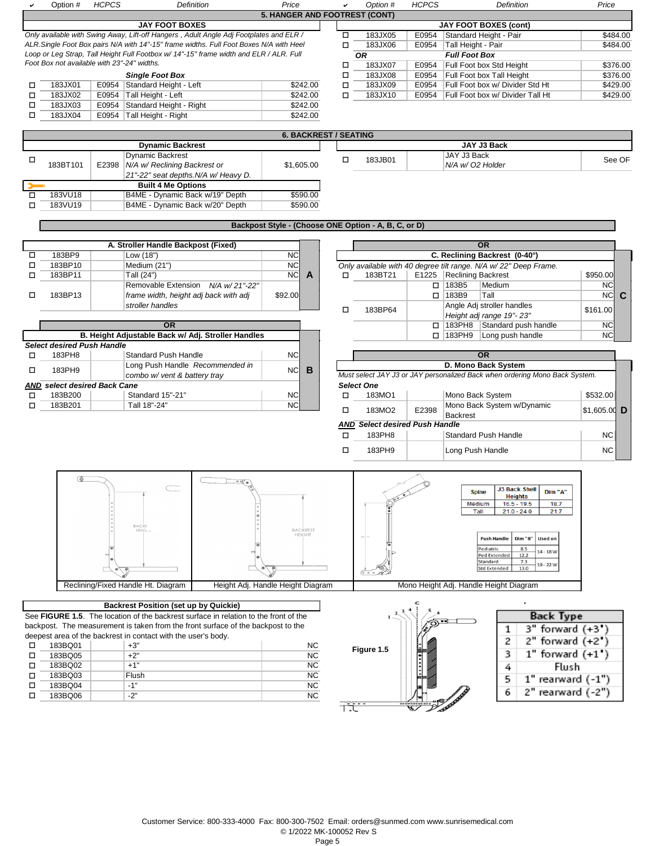|        | Option #                                    | <b>HCPCS</b> |                                                               | Definition                                                                             | Price     |                              | ✓      | Option #                                             | <b>HCPCS</b> | Definition                                                                  | Price                     |
|--------|---------------------------------------------|--------------|---------------------------------------------------------------|----------------------------------------------------------------------------------------|-----------|------------------------------|--------|------------------------------------------------------|--------------|-----------------------------------------------------------------------------|---------------------------|
|        |                                             |              |                                                               |                                                                                        |           |                              |        | <b>5. HANGER AND FOOTREST (CONT)</b>                 |              |                                                                             |                           |
|        |                                             |              | <b>JAY FOOT BOXES</b>                                         |                                                                                        |           |                              |        |                                                      |              | <b>JAY FOOT BOXES (cont)</b>                                                |                           |
|        |                                             |              |                                                               | Only available with Swing Away, Lift-off Hangers, Adult Angle Adj Footplates and ELR / |           |                              | $\Box$ | 183JX05                                              | E0954        | Standard Height - Pair                                                      | \$484.00                  |
|        |                                             |              |                                                               | ALR.Single Foot Box pairs N/A with 14"-15" frame widths. Full Foot Boxes N/A with Heel |           |                              | $\Box$ | 183JX06                                              | E0954        | Tall Height - Pair                                                          | \$484.00                  |
|        | Foot Box not available with 23"-24" widths. |              |                                                               | Loop or Leg Strap, Tall Height Full Footbox w/ 14"-15" frame width and ELR / ALR. Full |           |                              |        | <b>OR</b>                                            |              | <b>Full Foot Box</b>                                                        |                           |
|        |                                             |              |                                                               |                                                                                        |           |                              | □      | 183JX07                                              | E0954        | Full Foot box Std Height                                                    | \$376.00                  |
|        |                                             |              | <b>Single Foot Box</b>                                        |                                                                                        |           |                              | □      | 183JX08                                              | E0954        | Full Foot box Tall Height                                                   | \$376.00                  |
| □      | 183JX01                                     |              | E0954 Standard Height - Left                                  |                                                                                        |           | \$242.00                     | $\Box$ | 183JX09                                              | E0954        | Full Foot box w/ Divider Std Ht                                             | \$429.00                  |
| □      | 183JX02                                     | E0954        | Tall Height - Left                                            |                                                                                        |           | \$242.00                     | $\Box$ | 183JX10                                              | E0954        | Full Foot box w/ Divider Tall Ht                                            | \$429.00                  |
| $\Box$ | 183JX03                                     | E0954        | Standard Height - Right                                       |                                                                                        |           | \$242.00                     |        |                                                      |              |                                                                             |                           |
| □      | 183JX04                                     | E0954        | Tall Height - Right                                           |                                                                                        |           | \$242.00                     |        |                                                      |              |                                                                             |                           |
|        |                                             |              |                                                               |                                                                                        |           | <b>6. BACKREST / SEATING</b> |        |                                                      |              |                                                                             |                           |
|        |                                             |              | <b>Dynamic Backrest</b>                                       |                                                                                        |           |                              |        |                                                      |              | JAY J3 Back                                                                 |                           |
| $\Box$ |                                             |              | <b>Dynamic Backrest</b>                                       |                                                                                        |           |                              | $\Box$ | 183JB01                                              |              | JAY J3 Back                                                                 | See OF                    |
|        | 183BT101                                    | E2398        | N/A w/ Reclining Backrest or                                  |                                                                                        |           | \$1,605.00                   |        |                                                      |              | N/A w/ O2 Holder                                                            |                           |
|        |                                             |              | 21"-22" seat depths. N/A w/ Heavy D.                          |                                                                                        |           |                              |        |                                                      |              |                                                                             |                           |
|        |                                             |              | <b>Built 4 Me Options</b>                                     |                                                                                        |           |                              |        |                                                      |              |                                                                             |                           |
| 口      | 183VU18                                     |              | B4ME - Dynamic Back w/19" Depth                               |                                                                                        |           | \$590.00                     |        |                                                      |              |                                                                             |                           |
| $\Box$ | 183VU19                                     |              | B4ME - Dynamic Back w/20" Depth                               |                                                                                        |           | \$590.00                     |        |                                                      |              |                                                                             |                           |
|        |                                             |              |                                                               |                                                                                        |           |                              |        |                                                      |              |                                                                             |                           |
|        |                                             |              |                                                               |                                                                                        |           |                              |        | Backpost Style - (Choose ONE Option - A, B, C, or D) |              |                                                                             |                           |
|        |                                             |              | A. Stroller Handle Backpost (Fixed)                           |                                                                                        |           |                              |        |                                                      |              | <b>OR</b>                                                                   |                           |
| □      | 183BP9                                      |              | Low (18")                                                     |                                                                                        | <b>NC</b> |                              |        |                                                      |              | C. Reclining Backrest (0-40°)                                               |                           |
| $\Box$ | 183BP10                                     |              | Medium (21")                                                  |                                                                                        | NC        |                              |        |                                                      |              | Only available with 40 degree tilt range. N/A w/22" Deep Frame.             |                           |
| □      | 183BP11                                     |              | Tall (24")                                                    |                                                                                        | NC        | $\mathbf{A}$                 | □      | 183BT21                                              | E1225        | <b>Reclining Backrest</b>                                                   | \$950.00                  |
|        |                                             |              |                                                               | Removable Extension N/A w/21"-22"                                                      |           |                              |        |                                                      | $\Box$       | 183B5<br>Medium                                                             | <b>NC</b>                 |
| П      | 183BP13                                     |              | frame width, height adj back with adj                         |                                                                                        | \$92.00   |                              |        |                                                      |              | Tall<br>$\Box$ 183B9                                                        | NCC                       |
|        |                                             |              | stroller handles                                              |                                                                                        |           |                              |        |                                                      |              | Angle Adj stroller handles                                                  |                           |
|        |                                             |              |                                                               |                                                                                        |           |                              | $\Box$ | 183BP64                                              |              | Height adj range 19"-23"                                                    | \$161.00                  |
|        |                                             |              | <b>OR</b>                                                     |                                                                                        |           |                              |        |                                                      |              | $\Box$ 183PH8<br>Standard push handle                                       | <b>NC</b>                 |
|        |                                             |              |                                                               | B. Height Adjustable Back w/ Adj. Stroller Handles                                     |           |                              |        |                                                      |              | □ 183PH9<br>Long push handle                                                | <b>NC</b>                 |
|        | <b>Select desired Push Handle</b>           |              |                                                               |                                                                                        |           |                              |        |                                                      |              |                                                                             |                           |
| $\Box$ | 183PH8                                      |              | <b>Standard Push Handle</b>                                   |                                                                                        | NC        |                              |        |                                                      |              | OR                                                                          |                           |
|        |                                             |              |                                                               |                                                                                        |           |                              |        |                                                      |              |                                                                             |                           |
|        |                                             |              |                                                               |                                                                                        |           |                              |        |                                                      |              |                                                                             |                           |
| П      | 183PH9                                      |              | Long Push Handle Recommended in                               |                                                                                        | <b>NC</b> | B                            |        |                                                      |              | D. Mono Back System                                                         |                           |
|        |                                             |              | combo w/ vent & battery tray                                  |                                                                                        |           |                              |        |                                                      |              | Must select JAY J3 or JAY personalized Back when ordering Mono Back System. |                           |
|        | <b>AND</b> select desired Back Cane         |              |                                                               |                                                                                        |           |                              |        | <b>Select One</b>                                    |              |                                                                             |                           |
| □      | 183B200                                     |              | Standard 15"-21"                                              |                                                                                        | NC        |                              | $\Box$ | 183MO1                                               |              | Mono Back System                                                            | \$532.00                  |
| П      | 183B201                                     |              | Tall 18"-24"                                                  |                                                                                        | NC        |                              | □      | 183MO2                                               | E2398        | Mono Back System w/Dynamic                                                  | \$1,605.00 $\overline{D}$ |
|        |                                             |              |                                                               |                                                                                        |           |                              |        | <b>AND Select desired Push Handle</b>                |              | Backrest                                                                    |                           |
|        |                                             |              |                                                               |                                                                                        |           |                              |        |                                                      |              |                                                                             |                           |
|        |                                             |              |                                                               |                                                                                        |           |                              | $\Box$ | 183PH8                                               |              | <b>Standard Push Handle</b>                                                 | <b>NC</b>                 |
|        |                                             |              |                                                               |                                                                                        |           |                              | $\Box$ | 183PH9                                               |              | Long Push Handle                                                            | <b>NC</b>                 |
|        |                                             |              |                                                               |                                                                                        |           |                              |        |                                                      |              |                                                                             |                           |
|        | 匝                                           |              |                                                               |                                                                                        |           |                              |        |                                                      |              |                                                                             |                           |
|        |                                             |              |                                                               |                                                                                        |           |                              |        |                                                      |              | <b>J3 Back Shell</b><br>Dim "A"<br><b>Spine</b>                             |                           |
|        |                                             |              |                                                               |                                                                                        |           |                              |        |                                                      |              | <b>Heights</b>                                                              |                           |
|        |                                             |              |                                                               |                                                                                        |           |                              |        |                                                      |              | $16.5 - 19.5$<br>18.7<br>Medium<br>$21.0 - 24.0$<br>Tall<br>21.7            |                           |
|        |                                             |              |                                                               |                                                                                        |           |                              |        |                                                      |              |                                                                             |                           |
|        |                                             |              | BACKE<br>HEIGL                                                |                                                                                        |           | <b>BACKREST</b>              |        |                                                      |              |                                                                             |                           |
|        |                                             |              |                                                               |                                                                                        |           | <b>HEIGHT</b>                |        |                                                      |              | <b>Push Handle</b><br>Dim "B"<br>Used on                                    |                           |
|        |                                             |              |                                                               |                                                                                        |           |                              |        |                                                      |              | Pediatric<br>8.5<br>$14 - 18 W$                                             |                           |
|        |                                             |              |                                                               |                                                                                        |           |                              |        |                                                      |              | Ped Extended<br>12.2<br>Standard<br>7.3                                     |                           |
|        |                                             |              |                                                               |                                                                                        |           |                              |        |                                                      |              | 19 - 22 W<br>13.0<br><b>Std Extended</b>                                    |                           |
|        |                                             |              |                                                               |                                                                                        |           |                              |        |                                                      |              |                                                                             |                           |
|        |                                             |              | Reclining/Fixed Handle Ht. Diagram                            | Height Adj. Handle Height Diagram                                                      |           |                              |        |                                                      |              | Mono Height Adj. Handle Height Diagram                                      |                           |
|        |                                             |              | <b>Backrest Position (set up by Quickie)</b>                  |                                                                                        |           |                              |        |                                                      |              |                                                                             |                           |
|        |                                             |              |                                                               | See FIGURE 1.5. The location of the backrest surface in relation to the front of the   |           |                              |        |                                                      |              |                                                                             |                           |
|        |                                             |              |                                                               | backpost. The measurement is taken from the front surface of the backpost to the       |           |                              |        |                                                      |              | <b>Back Type</b>                                                            |                           |
|        |                                             |              | deepest area of the backrest in contact with the user's body. |                                                                                        |           |                              |        |                                                      |              | 3" forward (+3")<br>1                                                       |                           |
| □      | 183BQ01                                     |              | +3"                                                           |                                                                                        |           | <b>NC</b>                    |        |                                                      |              | 2<br>2" forward (+2")                                                       |                           |
| □      | 183BQ05                                     |              | $+2"$                                                         |                                                                                        |           | NC                           |        | Figure 1.5                                           |              | $1"$ forward $(+1")$<br>3                                                   |                           |
| □      |                                             |              | $+1"$                                                         |                                                                                        |           |                              |        |                                                      |              |                                                                             |                           |
| □      | 183BQ02                                     |              |                                                               |                                                                                        |           | <b>NC</b>                    |        |                                                      |              | Flush<br>4                                                                  |                           |
|        | 183BQ03                                     |              | Flush                                                         |                                                                                        |           | <b>NC</b>                    |        |                                                      |              | $1"$ rearward $(-1")$<br>5                                                  |                           |
| □<br>□ | 183BQ04                                     |              | $-1"$                                                         |                                                                                        |           | NC                           |        |                                                      |              | 2" rearward (-2")<br>6                                                      |                           |
|        | 183BQ06                                     |              | $-2"$                                                         |                                                                                        |           | NC                           | TÏ     |                                                      |              |                                                                             |                           |

Page 5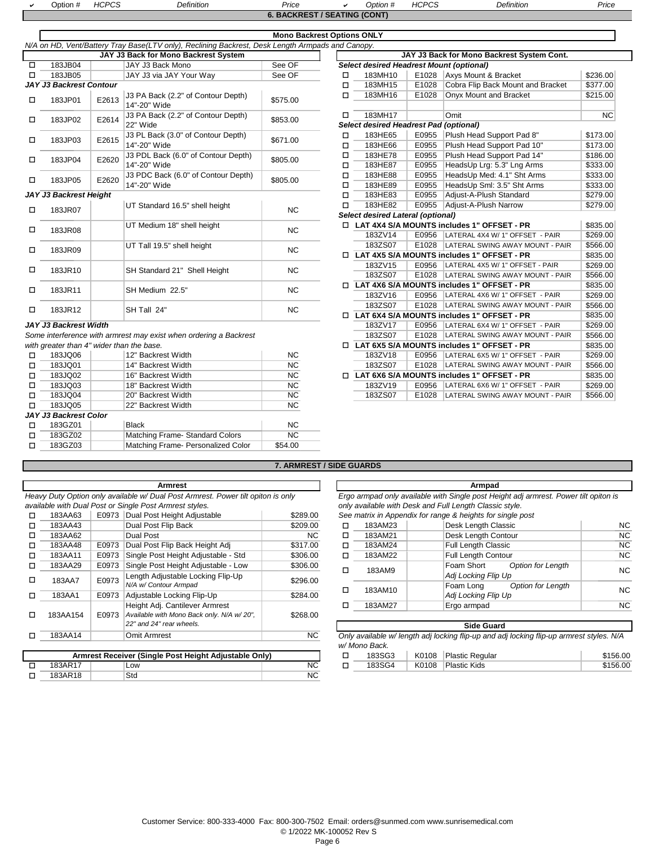| Option # | HCDCT<br>טט זעד | Definition | Price                               | <i><b>Option #</b></i> | <b>HCPCS</b><br>ت∨⊤ | Definition | Price |
|----------|-----------------|------------|-------------------------------------|------------------------|---------------------|------------|-------|
|          |                 |            | <b>6. BACKREST / SEATING (CONT)</b> |                        |                     |            |       |

|        |                                           |       |                                                                                                  | 0. DAOI\I\LOT / OLATINO (OONT     |        |                                                 |       |                                                   |          |
|--------|-------------------------------------------|-------|--------------------------------------------------------------------------------------------------|-----------------------------------|--------|-------------------------------------------------|-------|---------------------------------------------------|----------|
|        |                                           |       |                                                                                                  | <b>Mono Backrest Options ONLY</b> |        |                                                 |       |                                                   |          |
|        |                                           |       | N/A on HD, Vent/Battery Tray Base(LTV only), Reclining Backrest, Desk Length Armpads and Canopy. |                                   |        |                                                 |       |                                                   |          |
|        |                                           |       | JAY J3 Back for Mono Backrest System                                                             |                                   |        |                                                 |       | JAY J3 Back for Mono Backrest System Cont.        |          |
| $\Box$ | 183JB04                                   |       | JAY J3 Back Mono                                                                                 | See OF                            |        | <b>Select desired Headrest Mount (optional)</b> |       |                                                   |          |
| □      | 183JB05                                   |       | JAY J3 via JAY Your Way                                                                          | See OF                            | $\Box$ | 183MH10                                         | E1028 | Axys Mount & Bracket                              | \$236.00 |
|        | <b>JAY J3 Backrest Contour</b>            |       |                                                                                                  |                                   | п      | 183MH15                                         | E1028 | Cobra Flip Back Mount and Bracket                 | \$377.00 |
| □      | 183JP01                                   | E2613 | J3 PA Back (2.2" of Contour Depth)<br>14"-20" Wide                                               | \$575.00                          | $\Box$ | 183MH16                                         | E1028 | Onyx Mount and Bracket                            | \$215.00 |
| □      | 183JP02                                   | E2614 | J3 PA Back (2.2" of Contour Depth)                                                               | \$853.00                          | п      | 183MH17                                         |       | Omit                                              | NC       |
|        |                                           |       | 22" Wide                                                                                         |                                   |        | <b>Select desired Headrest Pad (optional)</b>   |       |                                                   |          |
| □      | 183JP03                                   | E2615 | J3 PL Back (3.0" of Contour Depth)                                                               | \$671.00                          | $\Box$ | 183HE65                                         | E0955 | Plush Head Support Pad 8"                         | \$173.00 |
|        |                                           |       | 14"-20" Wide                                                                                     |                                   | □      | 183HE66                                         | E0955 | Plush Head Support Pad 10"                        | \$173.00 |
| □      | 183JP04                                   | E2620 | J3 PDL Back (6.0" of Contour Depth)                                                              | \$805.00                          | □      | 183HE78                                         | E0955 | Plush Head Support Pad 14"                        | \$186.00 |
|        |                                           |       | 14"-20" Wide                                                                                     |                                   | □      | 183HE87                                         | E0955 | HeadsUp Lrg: 5.3" Lng Arms                        | \$333.00 |
| □      | 183JP05                                   | E2620 | J3 PDC Back (6.0" of Contour Depth)                                                              | \$805.00                          | □      | 183HE88                                         | E0955 | HeadsUp Med: 4.1" Sht Arms                        | \$333.00 |
|        |                                           |       | 14"-20" Wide                                                                                     |                                   | □      | 183HE89                                         | E0955 | HeadsUp Sml: 3.5" Sht Arms                        | \$333.00 |
|        | JAY J3 Backrest Height                    |       |                                                                                                  |                                   | □      | 183HE83                                         | E0955 | Adjust-A-Plush Standard                           | \$279.00 |
| □      | 183JR07                                   |       | UT Standard 16.5" shell height                                                                   | <b>NC</b>                         | $\Box$ | 183HE82                                         | E0955 | Adjust-A-Plush Narrow                             | \$279.00 |
|        |                                           |       |                                                                                                  |                                   |        | <b>Select desired Lateral (optional)</b>        |       |                                                   |          |
| □      | 183JR08                                   |       | UT Medium 18" shell height                                                                       | <b>NC</b>                         |        |                                                 |       | □ LAT 4X4 S/A MOUNTS includes 1" OFFSET - PR      | \$835.00 |
|        |                                           |       |                                                                                                  |                                   |        | 183ZV14                                         | E0956 | LATERAL 4X4 W/ 1" OFFSET - PAIR                   | \$269.00 |
| □      | 183JR09                                   |       | UT Tall 19.5" shell height                                                                       | <b>NC</b>                         |        | 183ZS07                                         |       | E1028   LATERAL SWING AWAY MOUNT - PAIR           | \$566.00 |
|        |                                           |       |                                                                                                  |                                   | $\Box$ |                                                 |       | LAT 4X5 S/A MOUNTS includes 1" OFFSET - PR        | \$835.00 |
| □      | 183JR10                                   |       | SH Standard 21" Shell Height                                                                     | <b>NC</b>                         |        | 183ZV15                                         | E0956 | LATERAL 4X5 W/ 1" OFFSET - PAIR                   | \$269.00 |
|        |                                           |       |                                                                                                  |                                   |        | 183ZS07                                         | E1028 | LATERAL SWING AWAY MOUNT - PAIR                   | \$566.00 |
| □      | 183JR11                                   |       | SH Medium 22.5"                                                                                  | <b>NC</b>                         |        |                                                 |       | LAT 4X6 S/A MOUNTS includes 1" OFFSET - PR        | \$835.00 |
|        |                                           |       |                                                                                                  |                                   |        | 183ZV16                                         | E0956 | LATERAL 4X6 W/ 1" OFFSET - PAIR                   | \$269.00 |
| □      | 183JR12                                   |       | SH Tall 24"                                                                                      | <b>NC</b>                         |        | 183ZS07                                         | E1028 | LATERAL SWING AWAY MOUNT - PAIR                   | \$566.00 |
|        |                                           |       |                                                                                                  |                                   | п.     |                                                 |       | LAT 6X4 S/A MOUNTS includes 1" OFFSET - PR        | \$835.00 |
|        | <b>JAY J3 Backrest Width</b>              |       |                                                                                                  |                                   |        | 183ZV17                                         | E0956 | LATERAL 6X4 W/ 1" OFFSET - PAIR                   | \$269.00 |
|        |                                           |       | Some interference with armrest may exist when ordering a Backrest                                |                                   |        | 183ZS07                                         | E1028 | LATERAL SWING AWAY MOUNT - PAIR                   | \$566.00 |
|        | with areater than 4" wider than the base. |       |                                                                                                  |                                   |        |                                                 |       | $\Box$ LAT 6X5 S/A MOUNTS includes 1" OFFSET - PR | \$835.00 |

|   |                              | <i>with greater than 4 wider than the base.</i> |         | LAI 0AJ JIA MUUNIJ        |       |
|---|------------------------------|-------------------------------------------------|---------|---------------------------|-------|
| □ | 183JQ06                      | 12" Backrest Width                              | NC.     | 183ZV18                   | E0956 |
| □ | 183JQ01                      | 14" Backrest Width                              | NC.     | 183ZS07                   | E1028 |
| □ | 183JQ02                      | 16" Backrest Width                              | NC.     | <b>LAT 6X6 S/A MOUNTS</b> |       |
| □ | 183JQ03                      | 18" Backrest Width                              | NC.     | 183ZV19                   | E0956 |
| □ | 183JQ04                      | 20" Backrest Width                              | NC.     | 183ZS07                   | E1028 |
|   | 183JQ05                      | 22" Backrest Width                              | NC.     |                           |       |
|   | <b>JAY J3 Backrest Color</b> |                                                 |         |                           |       |
| □ | 183GZ01                      | <b>Black</b>                                    | NC.     |                           |       |
| п | 183GZ02                      | Matching Frame-Standard Colors                  | NC.     |                           |       |
|   | 183GZ03                      | Matching Frame- Personalized Color              | \$54.00 |                           |       |
|   |                              |                                                 |         |                           |       |

|                       |                                                             |           | 183ZS07 |       | E1028   LATERAL SWING AWAY MOUNT - PAIR           | \$566.00 |
|-----------------------|-------------------------------------------------------------|-----------|---------|-------|---------------------------------------------------|----------|
| 183JR11               | SH Medium 22.5"                                             | NC.       |         |       | $\Box$ LAT 4X6 S/A MOUNTS includes 1" OFFSET - PR | \$835.00 |
|                       |                                                             |           | 183ZV16 | E0956 | LATERAL 4X6 W/ 1" OFFSET - PAIR                   | \$269.00 |
| 183JR12               | SH Tall 24"                                                 | NC.       | 183ZS07 | E1028 | LATERAL SWING AWAY MOUNT - PAIR                   | \$566.00 |
|                       |                                                             |           |         |       | $\Box$ LAT 6X4 S/A MOUNTS includes 1" OFFSET - PR | \$835.00 |
| <b>Backrest Width</b> |                                                             |           | 183ZV17 | E0956 | LATERAL 6X4 W/ 1" OFFSET - PAIR                   | \$269.00 |
|                       | nterference with armrest may exist when ordering a Backrest |           | 183ZS07 |       | E1028 LATERAL SWING AWAY MOUNT - PAIR             | \$566.00 |
|                       | eater than 4" wider than the base.                          |           |         |       | $\Box$ LAT 6X5 S/A MOUNTS includes 1" OFFSET - PR | \$835.00 |
| 183JQ06               | 12" Backrest Width                                          | NC.       | 183ZV18 |       | E0956 LATERAL 6X5 W/ 1" OFFSET - PAIR             | \$269.00 |
| 183JQ01               | 14" Backrest Width                                          | NC.       | 183ZS07 |       | E1028 LATERAL SWING AWAY MOUNT - PAIR             | \$566.00 |
| 183JQ02               | 16" Backrest Width                                          | NC.       |         |       | $\Box$ LAT 6X6 S/A MOUNTS includes 1" OFFSET - PR | \$835.00 |
| 183JQ03               | 18" Backrest Width                                          | NC.       | 183ZV19 | E0956 | LATERAL 6X6 W/ 1" OFFSET - PAIR                   | \$269.00 |
| 183JQ04               | 20" Backrest Width                                          | <b>NC</b> | 183ZS07 | E1028 | LATERAL SWING AWAY MOUNT - PAIR                   | \$566.00 |

#### **7. ARMREST / SIDE GUARDS**

|   |          |       | Armrest                                                                          |           |   |         | Armpad                                                                   |
|---|----------|-------|----------------------------------------------------------------------------------|-----------|---|---------|--------------------------------------------------------------------------|
|   |          |       | Heavy Duty Option only available w/ Dual Post Armrest. Power tilt opiton is only |           |   |         | Ergo armpad only available with Single post Height adj armrest. Pow      |
|   |          |       | available with Dual Post or Single Post Armrest styles.                          |           |   |         | only available with Desk and Full Length Classic style.                  |
|   | 183AA63  |       | E0973 Dual Post Height Adjustable                                                | \$289.00  |   |         | See matrix in Appendix for range & heights for single post               |
| □ | 183AA43  |       | Dual Post Flip Back                                                              | \$209.00  | ◻ | 183AM23 | Desk Length Classic                                                      |
| п | 183AA62  |       | Dual Post                                                                        | NC.       | п | 183AM21 | Desk Length Contour                                                      |
| □ | 183AA48  | E0973 | Dual Post Flip Back Height Adj                                                   | \$317.00  | ◻ | 183AM24 | <b>Full Length Classic</b>                                               |
| □ | 183AA11  | E0973 | Single Post Height Adjustable - Std                                              | \$306.00  | ◻ | 183AM22 | <b>Full Length Contour</b>                                               |
| п | 183AA29  | E0973 | Single Post Height Adjustable - Low                                              | \$306.00  | ◻ | 183AM9  | Foam Short<br>Option for Lenath                                          |
| П | 183AA7   | E0973 | Length Adjustable Locking Flip-Up                                                |           |   |         | Adj Locking Flip Up                                                      |
|   |          |       | N/A w/ Contour Armpad                                                            | \$296.00  |   | 183AM10 | <b>Option for Length</b><br>Foam Long                                    |
|   | 183AA1   | E0973 | Adjustable Locking Flip-Up                                                       | \$284.00  | ◻ |         | Adj Locking Flip Up                                                      |
|   |          |       | Height Adj. Cantilever Armrest                                                   |           |   | 183AM27 | Ergo armpad                                                              |
| П | 183AA154 | E0973 | Available with Mono Back only. N/A w/20".                                        | \$268.00  |   |         |                                                                          |
|   |          |       | 22" and 24" rear wheels.                                                         |           |   |         | <b>Side Guard</b>                                                        |
|   | 183AA14  |       | Omit Armrest                                                                     | <b>NC</b> |   |         | Only available w/ length adj locking flip-up and adj locking flip-up arn |

|         | Armrest Receiver (Single Post Height Adjustable Only) |  |
|---------|-------------------------------------------------------|--|
| 183AR17 | ∟OW                                                   |  |
| 183AR18 | Std                                                   |  |

### *Ergo armpad only available with Single post Height adj armrest. Power tilt opiton is only available with Desk and Full Length Classic style.*

| 183AA43 |       | Dual Post Flip Back                       | \$209.00  | α. | 183AM23 | Desk Length Classic             | <b>NC</b> |
|---------|-------|-------------------------------------------|-----------|----|---------|---------------------------------|-----------|
| 183AA62 |       | Dual Post                                 | <b>NC</b> | □  | 183AM21 | Desk Length Contour             | <b>NC</b> |
| 183AA48 |       | E0973 Dual Post Flip Back Height Adj      | \$317.00  | ◻  | 183AM24 | <b>Full Length Classic</b>      | <b>NC</b> |
| 183AA11 |       | E0973 Single Post Height Adjustable - Std | \$306.00  | ◻  | 183AM22 | <b>Full Length Contour</b>      | NC        |
| 183AA29 |       | E0973 Single Post Height Adjustable - Low | \$306.00  | □  | 183AM9  | Foam Short<br>Option for Length | <b>NC</b> |
| 183AA7  | E0973 | Length Adjustable Locking Flip-Up         | \$296.00  |    |         | Adj Locking Flip Up             |           |
|         |       | N/A w/ Contour Armpad                     |           | п  | 183AM10 | Foam Long<br>Option for Length  | <b>NC</b> |
| 183AA1  |       | E0973 Adjustable Locking Flip-Up          | \$284.00  |    |         | Adj Locking Flip Up             |           |
|         |       | Height Adj. Cantilever Armrest            |           |    | 183AM27 | Ergo armpad                     | <b>NC</b> |

|         | 22" and 24" rear wheels.                              |           |               |       | <b>Side Guard</b>                                                                        |          |
|---------|-------------------------------------------------------|-----------|---------------|-------|------------------------------------------------------------------------------------------|----------|
| 183AA14 | Omit Armrest                                          | <b>NC</b> |               |       | Only available w/ length adj locking flip-up and adj locking flip-up armrest styles. N/A |          |
|         |                                                       |           | w/ Mono Back. |       |                                                                                          |          |
|         | Armrest Receiver (Single Post Height Adjustable Only) |           | 183SG3        | K0108 | Plastic Regular                                                                          | \$156.00 |
| 183AR17 | LOW                                                   | <b>NC</b> | 183SG4        | K0108 | Plastic Kids                                                                             | \$156.00 |
| 183AR18 | Std                                                   | NC.       |               |       |                                                                                          |          |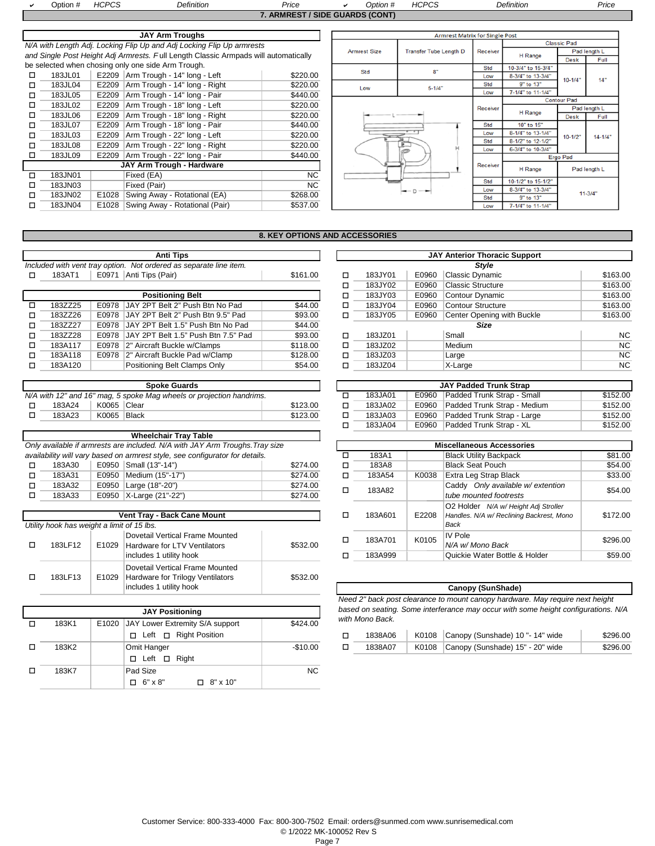|   | Option # | <b>HCPCS</b> | <b>Definition</b>                                                                   | Price                           | Option #            | <b>HCPCS</b>                          |            | <b>Definition</b>  |                    | Price        |
|---|----------|--------------|-------------------------------------------------------------------------------------|---------------------------------|---------------------|---------------------------------------|------------|--------------------|--------------------|--------------|
|   |          |              |                                                                                     | 7. ARMREST / SIDE GUARDS (CONT) |                     |                                       |            |                    |                    |              |
|   |          |              |                                                                                     |                                 |                     |                                       |            |                    |                    |              |
|   |          |              | <b>JAY Arm Troughs</b>                                                              |                                 |                     | <b>Armrest Matrix for Single Post</b> |            |                    |                    |              |
|   |          |              | N/A with Length Adj. Locking Flip Up and Adj Locking Flip Up armrests               |                                 |                     |                                       |            |                    | <b>Classic Pad</b> |              |
|   |          |              | and Single Post Height Adj Armrests. Full Length Classic Armpads will automatically |                                 | <b>Armrest Size</b> | <b>Transfer Tube Length D</b>         | Receiver   | H Range            |                    | Pad length L |
|   |          |              | be selected when chosing only one side Arm Trough.                                  |                                 |                     |                                       | Std        | 10-3/4" to 15-3/4" | <b>Desk</b>        | Full         |
| □ | 183JL01  |              | E2209 Arm Trough - 14" long - Left                                                  | \$220.00                        | Std                 | 8"                                    | Low        | 8-3/4" to 13-3/4"  |                    |              |
| □ | 183JL04  | E2209        | Arm Trough - 14" long - Right                                                       | \$220.00                        | Low                 | $5 - 1/4$ "                           | Std        | 9" to 13"          | $10 - 1/4"$        | 14"          |
| □ | 183JL05  | E2209        | Arm Trough - 14" long - Pair                                                        | \$440.00                        |                     |                                       | Low        | 7-1/4" to 11-1/4"  |                    |              |
| □ | 183JL02  | E2209        | Arm Trough - 18" long - Left                                                        | \$220.00                        |                     |                                       | Receiver   |                    | <b>Contour Pad</b> | Pad length L |
| □ | 183JL06  | E2209        | Arm Trough - 18" long - Right                                                       | \$220.00                        |                     |                                       |            | H Range            | <b>Desk</b>        | Full         |
| □ | 183JL07  | E2209        | Arm Trough - 18" long - Pair                                                        | \$440.00                        |                     |                                       | Std        | 10" to 15"         |                    |              |
| □ | 183JL03  | E2209        | Arm Trough - 22" long - Left                                                        | \$220.00                        |                     |                                       | Low        | 8-1/4" to 13-1/4"  | $10 - 1/2"$        | $14 - 1/4"$  |
| □ | 183JL08  | E2209        | Arm Trough - 22" long - Right                                                       | \$220.00                        |                     | Б                                     | Std        | 8-1/2" to 12-1/2"  |                    |              |
| п | 183JL09  | E2209        | Arm Trough - 22" long - Pair                                                        | \$440.00                        |                     |                                       | Low        | 6-3/4" to 10-3/4"  |                    |              |
|   |          |              | JAY Arm Trough - Hardware                                                           |                                 |                     |                                       | Receiver   |                    | Ergo Pad           |              |
| п | 183JN01  |              | Fixed (EA)                                                                          | <b>NC</b>                       |                     |                                       |            | H Range            |                    | Pad length L |
|   | 183JN03  |              | Fixed (Pair)                                                                        | <b>NC</b>                       |                     |                                       | Std        | 10-1/2" to 15-1/2" |                    |              |
|   | 183JN02  | E1028        |                                                                                     | \$268.00                        |                     | $ \cap$ $\longrightarrow$             | Low        | 8-3/4" to 13-3/4"  |                    | $11 - 3/4"$  |
| П |          |              | Swing Away - Rotational (EA)                                                        |                                 |                     |                                       | <b>Std</b> | 9" to 13"          |                    |              |
| □ | 183JN04  |              | E1028 Swing Away - Rotational (Pair)                                                | \$537.00                        |                     |                                       | Low        | 7-1/4" to 11-1/4"  |                    |              |

#### **8. KEY OPTIONS AND ACCESSORIES**

|   |         |       | <b>Anti Tips</b>                                                   |          |   |         |       | <b>JAY Anterior Tho</b> |
|---|---------|-------|--------------------------------------------------------------------|----------|---|---------|-------|-------------------------|
|   |         |       | Included with vent tray option. Not ordered as separate line item. |          |   |         |       | <b>Styk</b>             |
| □ | 183AT1  | E0971 | Anti Tips (Pair)                                                   | \$161.00 | □ | 183JY01 | E0960 | Classic Dynar           |
|   |         |       |                                                                    |          | □ | 183JY02 | E0960 | <b>Classic Struct</b>   |
|   |         |       | <b>Positioning Belt</b>                                            |          | ◘ | 183JY03 | E0960 | <b>Contour Dyna</b>     |
| □ | 183ZZ25 | E0978 | JAY 2PT Belt 2" Push Btn No Pad                                    | \$44.00  | □ | 183JY04 | E0960 | <b>Contour Strud</b>    |
| □ | 183ZZ26 | E0978 | JAY 2PT Belt 2" Push Btn 9.5" Pad                                  | \$93.00  | ◻ | 183JY05 | E0960 | Center Openi            |
| □ | 183ZZ27 | E0978 | JAY 2PT Belt 1.5" Push Btn No Pad                                  | \$44.00  |   |         |       | Size                    |
| □ | 183ZZ28 | E0978 | JAY 2PT Belt 1.5" Push Btn 7.5" Pad                                | \$93.00  | □ | 183JZ01 |       | Small                   |
| □ | 183A117 | E0978 | 2" Aircraft Buckle w/Clamps                                        | \$118.00 | □ | 183JZ02 |       | Medium                  |
| □ | 183A118 | E0978 | 2" Aircraft Buckle Pad w/Clamp                                     | \$128.00 | □ | 183JZ03 |       | Large                   |
| □ | 183A120 |       | Positioning Belt Clamps Only                                       | \$54.00  | п | 183JZ04 |       | X-Large                 |

|        |             | <b>Spoke Guards</b>                                                  |          |   |
|--------|-------------|----------------------------------------------------------------------|----------|---|
|        |             | N/A with 12" and 16" mag, 5 spoke Mag wheels or projection handrims. |          |   |
| 183A24 | K0065 Clear |                                                                      | \$123.00 |   |
| 183A23 | K0065       | Black                                                                | \$123.00 | ◻ |

|        |                                                                              |          |   | 1000 <del>00</del> | ∟∪∪ບ  | $\mu$ added from other $\lambda$ L |
|--------|------------------------------------------------------------------------------|----------|---|--------------------|-------|------------------------------------|
|        | <b>Wheelchair Tray Table</b>                                                 |          |   |                    |       |                                    |
|        | Only available if armrests are included. N/A with JAY Arm Troughs. Tray size |          |   |                    |       | <b>Miscellaneous Accessories</b>   |
|        | availability will vary based on armrest style, see configurator for details. |          |   | 183A1              |       | <b>Black Utility Backpack</b>      |
| 183A30 | E0950 Small (13"-14")                                                        | \$274.00 |   | 183A8              |       | Black Seat Pouch                   |
| 183A31 | E0950   Medium (15"-17")                                                     | \$274.00 |   | 183A54             | K0038 | Extra Leg Strap Black              |
| 183A32 | E0950   Large (18"-20")                                                      | \$274.00 | □ | 183A82             |       | Caddy Only available w/ extention  |
| 183A33 | E0950   X-Large (21"-22")                                                    | \$274.00 |   |                    |       | tube mounted footrests             |
|        |                                                                              |          |   |                    |       |                                    |

|   |                                            |       | <b>Vent Tray - Back Cane Mount</b>                                                             |          |
|---|--------------------------------------------|-------|------------------------------------------------------------------------------------------------|----------|
|   | Utility hook has weight a limit of 15 lbs. |       |                                                                                                |          |
| п | 183LF12                                    | E1029 | Dovetail Vertical Frame Mounted<br>Hardware for LTV Ventilators<br>includes 1 utility hook     | \$532.00 |
|   | 183LF13                                    | E1029 | Dovetail Vertical Frame Mounted<br>Hardware for Trilogy Ventilators<br>includes 1 utility hook | \$532.00 |

| <b>JAY Positioning</b> |  |                                       |                 |           |  |  |  |
|------------------------|--|---------------------------------------|-----------------|-----------|--|--|--|
| 183K1                  |  | E1020 JAY Lower Extremity S/A support |                 | \$424.00  |  |  |  |
|                        |  | □ Left □ Right Position               |                 |           |  |  |  |
| 183K2                  |  | Omit Hanger                           |                 | $-$10.00$ |  |  |  |
|                        |  | □ Left □ Right                        |                 |           |  |  |  |
| 183K7                  |  | Pad Size                              |                 | <b>NC</b> |  |  |  |
|                        |  | $\Box$ 6" x 8"                        | $\Box$ 8" x 10" |           |  |  |  |

|         |       | <b>Anti Tips</b>                                            |          | <b>JAY Anterior Thoracic Support</b> |              |       |                            |          |  |  |  |  |
|---------|-------|-------------------------------------------------------------|----------|--------------------------------------|--------------|-------|----------------------------|----------|--|--|--|--|
|         |       | d with vent tray option. Not ordered as separate line item. |          |                                      | <b>Style</b> |       |                            |          |  |  |  |  |
| 183AT1  | E0971 | Anti Tips (Pair)                                            | \$161.00 |                                      | 183JY01      | E0960 | Classic Dynamic            | \$163.00 |  |  |  |  |
|         |       |                                                             |          |                                      | 183JY02      | E0960 | <b>Classic Structure</b>   | \$163.00 |  |  |  |  |
|         |       | <b>Positioning Belt</b>                                     |          |                                      | 183JY03      | E0960 | Contour Dynamic            | \$163.00 |  |  |  |  |
| 183ZZ25 | E0978 | JAY 2PT Belt 2" Push Btn No Pad                             | \$44.00  | □                                    | 183JY04      | E0960 | <b>Contour Structure</b>   | \$163.00 |  |  |  |  |
| 183ZZ26 | E0978 | JAY 2PT Belt 2" Push Btn 9.5" Pad                           | \$93.00  | □                                    | 183JY05      | E0960 | Center Opening with Buckle | \$163.00 |  |  |  |  |
| 183ZZ27 | E0978 | JAY 2PT Belt 1.5" Push Btn No Pad                           | \$44.00  |                                      | Size         |       |                            |          |  |  |  |  |
| 183ZZ28 | E0978 | JAY 2PT Belt 1.5" Push Btn 7.5" Pad                         | \$93.00  | $\Box$                               | 183JZ01      |       | Small                      | NC.      |  |  |  |  |
| 183A117 | E0978 | 2" Aircraft Buckle w/Clamps                                 | \$118.00 | □                                    | 183JZ02      |       | <b>Medium</b>              | NC.      |  |  |  |  |
| 183A118 | E0978 | 2" Aircraft Buckle Pad w/Clamp                              | \$128.00 | □                                    | 183JZ03      |       | Large                      | NC.      |  |  |  |  |
| 183A120 |       | Positioning Belt Clamps Only                                | \$54.00  |                                      | 183JZ04      |       | X-Large                    | NC.      |  |  |  |  |

|        |             | <b>Spoke Guards</b>                                                  |          | <b>JAY Padded Trunk Strap</b> |  |                                   |          |  |  |
|--------|-------------|----------------------------------------------------------------------|----------|-------------------------------|--|-----------------------------------|----------|--|--|
|        |             | N/A with 12" and 16" mag, 5 spoke Mag wheels or projection handrims. |          | 183JA01                       |  | E0960 Padded Trunk Strap - Small  | \$152.00 |  |  |
| 183A24 | K0065 Clear |                                                                      | \$123.00 | 183JA02                       |  | E0960 Padded Trunk Strap - Medium | \$152.00 |  |  |
| 183A23 | K0065 Black |                                                                      | \$123.00 | 183JA03                       |  | E0960 Padded Trunk Strap - Large  | \$152.00 |  |  |
|        |             |                                                                      |          | 183JA04                       |  | E0960 Padded Trunk Strap - XL     | \$152.00 |  |  |

|                                                 |                                       | ailable if armrests are included. N/A with JAY Arm Troughs.Tray size |          | <b>Miscellaneous Accessories</b> |         |       |                                          |          |  |  |
|-------------------------------------------------|---------------------------------------|----------------------------------------------------------------------|----------|----------------------------------|---------|-------|------------------------------------------|----------|--|--|
|                                                 |                                       | ity will vary based on armrest style, see configurator for details.  |          |                                  | 183A1   |       | <b>Black Utility Backpack</b>            | \$81.00  |  |  |
| 183A30                                          | E0950                                 | Small (13"-14")                                                      | \$274.00 | □                                | 183A8   |       | <b>Black Seat Pouch</b>                  | \$54.00  |  |  |
| Medium (15"-17")<br>E0950<br>\$274.00<br>183A31 |                                       |                                                                      |          | □                                | 183A54  | K0038 | Extra Leg Strap Black                    | \$33.00  |  |  |
| \$274.00<br>183A32<br>E0950<br>Large (18"-20")  |                                       |                                                                      |          |                                  | 183A82  |       | Caddy Only available w/ extention        | \$54.00  |  |  |
| E0950   X-Large (21"-22")<br>\$274.00<br>183A33 |                                       |                                                                      |          | □                                |         |       | tube mounted footrests                   |          |  |  |
|                                                 |                                       |                                                                      |          |                                  |         |       | O2 Holder N/A w/ Height Adj Stroller     |          |  |  |
|                                                 |                                       | <b>Vent Tray - Back Cane Mount</b>                                   |          | □                                | 183A601 | E2208 | Handles. N/A w/ Reclining Backrest, Mono | \$172.00 |  |  |
| ook has weight a limit of 15 lbs.               |                                       |                                                                      |          |                                  |         |       | Back                                     |          |  |  |
| Dovetail Vertical Frame Mounted                 |                                       |                                                                      |          | □                                | 183A701 | K0105 | <b>IV Pole</b>                           | \$296.00 |  |  |
| 183LF12                                         | Hardware for LTV Ventilators<br>E1029 |                                                                      | \$532.00 |                                  |         |       | N/A w/ Mono Back                         |          |  |  |
|                                                 | includes 1 utility hook               |                                                                      |          |                                  | 183A999 |       | Quickie Water Bottle & Holder            | \$59.00  |  |  |

| Canopy (SunShade)                                                                  |
|------------------------------------------------------------------------------------|
| Need 2" back post clearance to mount canopy hardware. May require next height      |
| based on seating. Some interferance may occur with some height configurations. N/A |
| with Mono Back.                                                                    |

|       | $\mathsf{L}$ . $\mathsf{L}$ , $\mathsf{L}$ , $\mathsf{L}$ , $\mathsf{L}$ , $\mathsf{L}$ , $\mathsf{L}$ , $\mathsf{L}$ , $\mathsf{L}$ , $\mathsf{L}$ , $\mathsf{L}$ , $\mathsf{L}$ , $\mathsf{L}$ , $\mathsf{L}$ , $\mathsf{L}$ , $\mathsf{L}$ , $\mathsf{L}$ , $\mathsf{L}$ , $\mathsf{L}$ , $\mathsf{L}$ , |          |         |                                        |          |
|-------|-------------------------------------------------------------------------------------------------------------------------------------------------------------------------------------------------------------------------------------------------------------------------------------------------------------|----------|---------|----------------------------------------|----------|
|       | י Left □ Right Position                                                                                                                                                                                                                                                                                     |          | 1838A06 | K0108 Canopy (Sunshade) 10"-14" wide   | \$296.00 |
| 183K2 | Omit Hanger                                                                                                                                                                                                                                                                                                 | -\$10.00 | 1838A07 | K0108 Canopy (Sunshade) 15" - 20" wide | \$296.00 |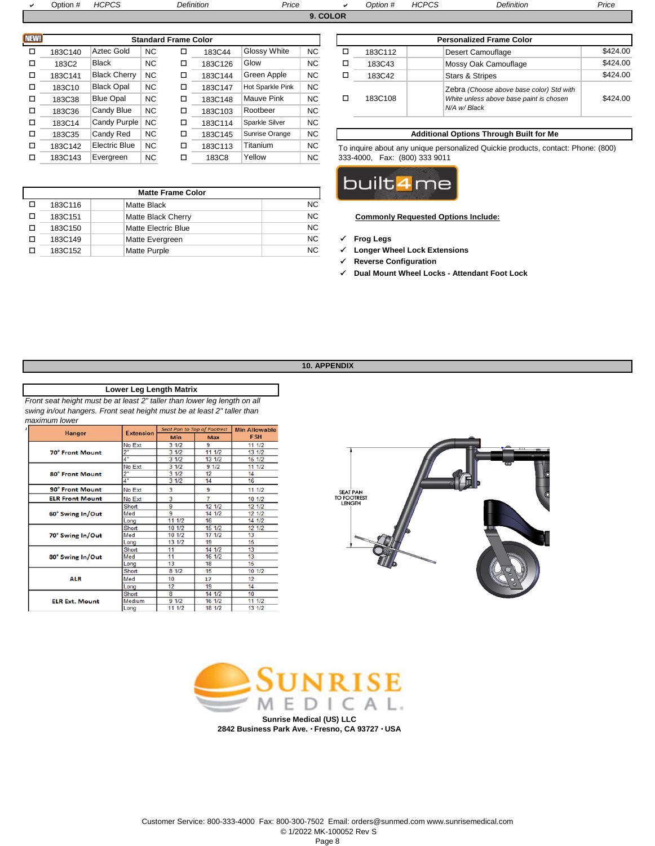| ⊃ption # | <i>AUDUE</i><br>ت∪∵<br>. | Definition | <sup>o</sup> rice |  | Option # | HCDCC<br>-ಀು<br>. I GE | Definition | Price |
|----------|--------------------------|------------|-------------------|--|----------|------------------------|------------|-------|
|          |                          |            |                   |  |          |                        |            |       |

| NEW! |         |                     |           | <b>Standard Frame Color</b> |         |                  |           |
|------|---------|---------------------|-----------|-----------------------------|---------|------------------|-----------|
| □    | 183C140 | Aztec Gold          | <b>NC</b> | ◻                           | 183C44  | Glossy White     | <b>NC</b> |
| □    | 183C2   | <b>Black</b>        | <b>NC</b> | □                           | 183C126 | Glow             | <b>NC</b> |
| □    | 183C141 | <b>Black Cherry</b> | <b>NC</b> | □                           | 183C144 | Green Apple      | NC.       |
| □    | 183C10  | <b>Black Opal</b>   | <b>NC</b> | □                           | 183C147 | Hot Sparkle Pink | <b>NC</b> |
| □    | 183C38  | <b>Blue Opal</b>    | <b>NC</b> | □                           | 183C148 | Mauve Pink       | <b>NC</b> |
| □    | 183C36  | Candy Blue          | <b>NC</b> | □                           | 183C103 | Rootbeer         | NC.       |
| □    | 183C14  | Candy Purple        | <b>NC</b> | □                           | 183C114 | Sparkle Silver   | <b>NC</b> |
| □    | 183C35  | Candy Red           | <b>NC</b> | □                           | 183C145 | Sunrise Orange   | <b>NC</b> |
| □    | 183C142 | Electric Blue       | <b>NC</b> | □                           | 183C113 | Titanium         | NC.       |
|      | 183C143 | Evergreen           | <b>NC</b> | □                           | 183C8   | Yellow           | <b>NC</b> |

**Matte Frame Color** 183C116 Matte Black NC

183C150 Matte Electric Blue NC

Matte Black Cherry

Matte Purple

|         |                     |           | <b>Standard Frame Color</b> |         |                  |           |   |         | <b>Personalized Frame Color</b>          |          |
|---------|---------------------|-----------|-----------------------------|---------|------------------|-----------|---|---------|------------------------------------------|----------|
| 183C140 | Aztec Gold          | <b>NC</b> |                             | 183C44  | Glossy White     | <b>NC</b> | ப | 183C112 | Desert Camouflage                        | \$424.00 |
| 183C2   | <b>Black</b>        | <b>NC</b> |                             | 183C126 | Glow             | <b>NC</b> | □ | 183C43  | Mossy Oak Camouflage                     | \$424.00 |
| 183C141 | <b>Black Cherry</b> | <b>NC</b> |                             | 183C144 | Green Apple      | <b>NC</b> | □ | 183C42  | <b>Stars &amp; Stripes</b>               | \$424.00 |
| 183C10  | <b>Black Opal</b>   | <b>NC</b> |                             | 183C147 | Hot Sparkle Pink | <b>NC</b> |   |         | Zebra (Choose above base color) Std with |          |
| 183C38  | <b>Blue Opal</b>    | <b>NC</b> |                             | 183C148 | Mauve Pink       | <b>NC</b> |   | 183C108 | White unless above base paint is chosen  | \$424.00 |
| 183C36  | Candy Blue          | <b>NC</b> |                             | 183C103 | Rootbeer         | <b>NC</b> |   |         | N/A w/ Black                             |          |
|         |                     |           |                             |         |                  |           |   |         |                                          |          |

#### **Additional Options Through Built for Me**

To inquire about any unique personalized Quickie products, contact: Phone: (800) 333-4000, Fax: (800) 333 9011



#### o **Commonly Requested Options Include:**

- □ 183C149 Matte Evergreen NC **V Frog Legs**
- o **Longer Wheel Lock Extensions**
	- **Reverse Configuration**
	- **Dual Mount Wheel Locks Attendant Foot Lock**
	- **10. APPENDIX**

#### **Lower Leg Length Matrix**

*Front seat height must be at least 2" taller than lower leg length on all swing in/out hangers. Front seat height must be at least 2" taller than maximum lower* 

o

 $\Box$ 

|                        | <b>Extension</b> |            | Seat Pan to Top of Footrest | <b>Min Allowable</b> |  |
|------------------------|------------------|------------|-----------------------------|----------------------|--|
| <b>Hanger</b>          |                  | <b>Min</b> | <b>Max</b>                  | <b>FSH</b>           |  |
|                        | No Ext           | 31/2       | 9                           | 11 1/2               |  |
| <b>70° Front Mount</b> | 2"               | 31/2       | 11 1/2                      | 13 1/2               |  |
|                        | 4"               | 31/2       | 13 1/2                      | 15 1/2               |  |
|                        | No Ext           | 31/2       | 91/2                        | 11 1/2               |  |
| 80° Front Mount        | 2 <sup>o</sup>   | 31/2       | 12                          | 14                   |  |
|                        | 4"               | 31/2       | 14                          | 16                   |  |
| 90° Front Mount        | No Ext           | 3          | 9                           | 11 1/2               |  |
| <b>ELR Front Mount</b> | No Ext           | 3          | 7                           | 10 1/2               |  |
|                        | Short            | 9          | 12 1/2                      | 12 1/2               |  |
| 60° Swing In/Out       | Med              | 9          | 14 1/2                      | 12 1/2               |  |
|                        | Long             | 11 1/2     | 16                          | 14 1/2               |  |
|                        | Short            | 10 1/2     | 15 1/2                      | 12 1/2               |  |
| 70° Swing In/Out       | Med              | 101/2      | 17 1/2                      | 13                   |  |
|                        | Long             | 13 1/2     | 19                          | 15                   |  |
|                        | Short            | 11         | 14 1/2                      | 13                   |  |
| 80° Swing In/Out       | Med              | 11         | 16 1/2                      | 13                   |  |
|                        | Long             | 13         | 18                          | 15                   |  |
|                        | Short            | 81/2       | 15                          | 10 1/2               |  |
| <b>ALR</b>             | Med              | 10         | 17                          | 12                   |  |
|                        | Long             | 12         | 19                          | 14                   |  |
|                        | Short            | 8          | 14 1/2                      | 10                   |  |
| <b>ELR Ext. Mount</b>  | Medium           | 91/2       | 16 1/2                      | 11 1/2               |  |
|                        | Long             | 11 1/2     | 18 1/2                      | 13 1/2               |  |



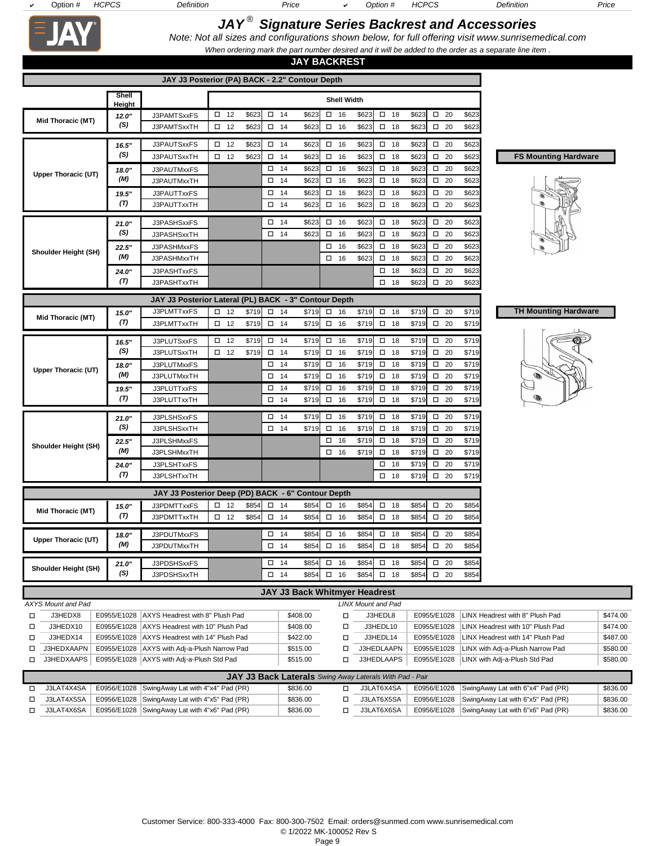□ J3LAT4X5SA E0956/E1028 SwingAway Lat with 4"x5" Pad (PR) \$836.00 □ □ J3LAT4X6SA E0956/E1028 SwingAway Lat with 4"x6" Pad (PR) \$836.00 □

J3LAT6X5SA E0956/E1028 SwingAway Lat with 6"x5" Pad (PR) \$836.00 J3LAT6X6SA E0956/E1028 SwingAway Lat with 6"x6" Pad (PR) \$836.00

# *JAY ® Signature Series Backrest and Accessories*

*Note: Not all sizes and configurations shown below, for full offering visit www.sunrisemedical.com When ordering mark the part number desired and it will be added to the order as a separate line item .*

| <b>JAY BACKREST</b>                             |                 |                                                                                                  |                              |                |                              |                                                                      |        |                              |                           |                                |            |                |                              |                |                                                                      |                      |
|-------------------------------------------------|-----------------|--------------------------------------------------------------------------------------------------|------------------------------|----------------|------------------------------|----------------------------------------------------------------------|--------|------------------------------|---------------------------|--------------------------------|------------|----------------|------------------------------|----------------|----------------------------------------------------------------------|----------------------|
| JAY J3 Posterior (PA) BACK - 2.2" Contour Depth |                 |                                                                                                  |                              |                |                              |                                                                      |        |                              |                           |                                |            |                |                              |                |                                                                      |                      |
|                                                 | Shell<br>Height |                                                                                                  |                              |                |                              |                                                                      |        | <b>Shell Width</b>           |                           |                                |            |                |                              |                |                                                                      |                      |
| Mid Thoracic (MT)                               | 12.0"           | J3PAMTSxxFS                                                                                      | $\square$ 12                 | \$623          | $\square$ 14                 | \$623                                                                |        | $\square$ 16                 | \$623                     | $\square$ 18                   |            | \$623          | $\square$ 20                 | \$623          |                                                                      |                      |
|                                                 | (S)             | J3PAMTSxxTH                                                                                      | $\square$ 12                 | \$623          | $\square$ 14                 | \$623                                                                |        | $\square$ 16                 | \$623                     | $\square$ 18                   |            | \$623          | $\square$ 20                 | \$623          |                                                                      |                      |
|                                                 | 16.5"           | J3PAUTSxxFS                                                                                      | $\square$ 12                 | \$623          | $\square$ 14                 | \$623                                                                | $\Box$ | 16                           | \$623                     | $\square$ 18                   |            | \$623          | $\square$ 20                 | \$623          |                                                                      |                      |
|                                                 | (S)             | J3PAUTSxxTH                                                                                      | $\square$ 12                 | \$623          | $\square$ 14                 | \$623                                                                |        | $\square$ 16                 | \$623                     | $\square$ 18                   |            | \$623          | $\square$ 20                 | \$623          | <b>FS Mounting Hardware</b>                                          |                      |
| <b>Upper Thoracic (UT)</b>                      | 18.0"           | J3PAUTMxxFS                                                                                      |                              |                | $\square$ 14                 | \$623                                                                |        | $\square$ 16                 | \$623                     | $\square$ 18                   |            | \$623          | $\square$ 20                 | \$623          |                                                                      |                      |
|                                                 | (M)             | J3PAUTMxxTH                                                                                      |                              |                | $\square$ 14                 | \$623                                                                |        | $\square$ 16                 | \$623                     | $\square$ 18                   |            | \$623          | $\square$ 20                 | \$623          |                                                                      |                      |
|                                                 | 19.5"           | J3PAUTTxxFS                                                                                      |                              |                | $\square$ 14                 | \$623                                                                |        | $\square$ 16                 | \$623                     | $\square$ 18                   |            | \$623          | $\square$ 20                 | \$623          |                                                                      |                      |
|                                                 | (T)             | J3PAUTTxxTH                                                                                      |                              |                | $\square$ 14                 | \$623                                                                |        | $\square$ 16                 | \$623                     | $\square$ 18                   |            | \$623          | $\square$ 20                 | \$623          |                                                                      |                      |
|                                                 | 21.0"           | J3PASHSxxFS                                                                                      |                              |                | $\square$ 14                 | \$623                                                                |        | $\square$ 16                 | \$623                     | $\Box$                         | 18         | \$623          | $\square$ 20                 | \$623          |                                                                      |                      |
|                                                 | (S)             | J3PASHSxxTH                                                                                      |                              |                | $\square$ 14                 | \$623                                                                | □      | 16                           | \$623                     | $\square$ 18                   |            | \$623          | $\square$ 20                 | \$623          |                                                                      |                      |
| Shoulder Height (SH)                            | 22.5"           | J3PASHMxxFS                                                                                      |                              |                |                              |                                                                      |        | $\square$ 16                 | \$623                     | $\square$ 18                   |            | \$623          | $\square$ 20                 | \$623          |                                                                      |                      |
|                                                 | (M)             | J3PASHMxxTH                                                                                      |                              |                |                              |                                                                      |        | $\square$ 16                 | \$623                     | $\square$ 18                   |            | \$623          | $\square$ 20                 | \$623          |                                                                      |                      |
|                                                 | 24.0"<br>(T)    | J3PASHTxxFS                                                                                      |                              |                |                              |                                                                      |        |                              |                           | $\square$ 18                   |            | \$623          | $\square$ 20                 | \$623          |                                                                      |                      |
|                                                 |                 | J3PASHTxxTH                                                                                      |                              |                |                              |                                                                      |        |                              |                           | $\square$ 18                   |            | \$623          | $\square$ 20                 | \$623          |                                                                      |                      |
|                                                 |                 | JAY J3 Posterior Lateral (PL) BACK - 3" Contour Depth                                            |                              |                |                              |                                                                      |        |                              |                           |                                |            |                |                              |                |                                                                      |                      |
| Mid Thoracic (MT)                               | 15.0"           | J3PLMTTxxFS                                                                                      | $\square$ 12                 | \$719          | $\square$ 14                 | \$719                                                                |        | $\square$ 16                 | \$719                     | $\square$ 18                   |            | \$719          | $\square$ 20                 | \$719          | <b>TH Mounting Hardware</b>                                          |                      |
|                                                 | (T)             | J3PLMTTxxTH                                                                                      | $\square$ 12                 | \$719          | $\square$ 14                 | \$719                                                                |        | $\square$ 16                 | \$719                     | $\square$ 18                   |            | \$719          | $\square$ 20                 | \$719          |                                                                      |                      |
|                                                 | 16.5"           | J3PLUTSxxFS                                                                                      | $\square$ 12                 | \$719          | $\square$ 14                 | \$719                                                                | $\Box$ | 16                           | \$719                     | $\square$ 18                   |            | \$719          | $\square$ 20                 | \$719          |                                                                      |                      |
|                                                 | (S)             | J3PLUTSxxTH                                                                                      | $\square$ 12                 | \$719          | $\square$ 14                 | \$719                                                                |        | $\square$ 16                 | \$719                     | $\square$ 18                   |            | \$719          | $\square$ 20                 | \$719          |                                                                      |                      |
| Upper Thoracic (UT)                             | 18.0"           | J3PLUTMxxFS                                                                                      |                              |                | $\square$ 14                 | \$719                                                                |        | $\square$ 16                 | \$719                     | $\square$ 18                   |            | \$719          | $\square$ 20                 | \$719          |                                                                      |                      |
|                                                 | (M)             | J3PLUTMxxTH                                                                                      |                              |                | $\square$ 14                 | \$719                                                                |        | $\square$ 16                 | \$719                     | $\square$ 18                   |            | \$719          | $\square$ 20                 | \$719          |                                                                      |                      |
|                                                 | 19.5"<br>(T)    | J3PLUTTxxFS                                                                                      |                              |                | $\square$ 14                 | \$719                                                                |        | $\square$ 16                 | \$719                     | $\square$ 18                   |            | \$719          | $\square$ 20                 | \$719          |                                                                      |                      |
|                                                 |                 | J3PLUTTxxTH                                                                                      |                              |                | $\square$ 14                 | \$719                                                                |        | $\square$ 16                 | \$719                     | $\square$ 18                   |            | \$719          | $\square$ 20                 | \$719          |                                                                      |                      |
|                                                 | 21.0"           | J3PLSHSxxFS                                                                                      |                              |                | $\square$ 14                 | \$719                                                                |        | $\square$ 16                 | \$719                     | $\overline{$ $\overline{)}$ 18 |            | \$719          | $\square$ 20                 | \$719          |                                                                      |                      |
|                                                 | (S)             | J3PLSHSxxTH                                                                                      |                              |                | $\square$ 14                 | \$719                                                                |        | $\square$ 16                 | \$719                     | $\square$ 18                   |            | \$719          | $\square$ 20                 | \$719          |                                                                      |                      |
| Shoulder Height (SH)                            | 22.5"<br>(M)    | J3PLSHMxxFS                                                                                      |                              |                |                              |                                                                      |        | $\square$ 16                 | \$719                     | $\square$ 18                   |            | \$719          | $\square$ 20                 | \$719          |                                                                      |                      |
|                                                 |                 | J3PLSHMxxTH<br>J3PLSHTxxFS                                                                       |                              |                |                              |                                                                      |        | $\square$ 16                 | \$719                     | $\square$ 18<br>$\square$ 18   |            | \$719<br>\$719 | $\square$ 20<br>$\square$ 20 | \$719<br>\$719 |                                                                      |                      |
|                                                 | 24.0"<br>(T)    | J3PLSHTxxTH                                                                                      |                              |                |                              |                                                                      |        |                              |                           | $\square$ 18                   |            | \$719          | $\square$ 20                 | \$719          |                                                                      |                      |
|                                                 |                 |                                                                                                  |                              |                |                              |                                                                      |        |                              |                           |                                |            |                |                              |                |                                                                      |                      |
|                                                 |                 | JAY J3 Posterior Deep (PD) BACK - 6" Contour Depth                                               |                              |                |                              |                                                                      |        |                              |                           |                                |            |                |                              |                |                                                                      |                      |
| Mid Thoracic (MT)                               | 15.0"<br>(T)    | J3PDMTTxxFS<br>J3PDMTTxxTH                                                                       | $\square$ 12<br>$\square$ 12 | \$854<br>\$854 | $\square$ 14<br>$\square$ 14 | \$854<br>\$854                                                       |        | $\square$ 16<br>$\square$ 16 | \$854<br>\$854            | $\square$ 18<br>$\square$ 18   |            | \$854<br>\$854 | $\square$ 20<br>$\square$ 20 | \$854<br>\$854 |                                                                      |                      |
|                                                 |                 |                                                                                                  |                              |                |                              |                                                                      |        |                              |                           |                                |            |                |                              |                |                                                                      |                      |
| Upper Thoracic (UT)                             | 18.0"           | J3PDUTMxxFS                                                                                      |                              |                | $\square$ 14                 | \$854                                                                |        | $\square$ 16                 | \$854                     | $\square$ 18                   |            | \$854          | $\square$ 20                 | \$854          |                                                                      |                      |
|                                                 | (M)             | J3PDUTMxxTH                                                                                      |                              |                | $\square$ 14                 | \$854                                                                |        | $\square$ 16                 | \$854                     | $\square$ 18                   |            | \$854          | $\square$ 20                 | \$854          |                                                                      |                      |
| Shoulder Height (SH)                            | 21.0"           | J3PDSHSxxFS                                                                                      |                              |                | $\square$ 14                 | \$854                                                                |        | $\square$ 16                 | \$854                     | $\square$ 18                   |            | \$854          | $\square$ 20                 | \$854          |                                                                      |                      |
|                                                 | (S)             | J3PDSHSxxTH                                                                                      |                              |                | $\Box$ 14                    | \$854                                                                |        | $\square$ 16                 | \$854                     | $\square$ 18                   |            | \$854          | $\Box$ 20                    | \$854          |                                                                      |                      |
|                                                 |                 |                                                                                                  |                              |                |                              | JAY J3 Back Whitmyer Headrest                                        |        |                              |                           |                                |            |                |                              |                |                                                                      |                      |
| AXYS Mount and Pad                              |                 |                                                                                                  |                              |                |                              |                                                                      |        |                              | <b>LINX Mount and Pad</b> |                                |            |                |                              |                |                                                                      |                      |
| J3HEDX8<br>□                                    |                 | E0955/E1028 AXYS Headrest with 8" Plush Pad                                                      |                              |                |                              | \$408.00                                                             |        | □                            |                           | J3HEDL8                        |            |                | E0955/E1028                  |                | LINX Headrest with 8" Plush Pad                                      | \$474.00             |
| J3HEDX10<br>□                                   |                 | E0955/E1028   AXYS Headrest with 10" Plush Pad                                                   |                              |                |                              | \$408.00                                                             |        | о                            |                           | J3HEDL10                       |            |                | E0955/E1028                  |                | LINX Headrest with 10" Plush Pad                                     | \$474.00             |
| J3HEDX14<br>□<br>J3HEDXAAPN                     |                 | E0955/E1028   AXYS Headrest with 14" Plush Pad<br>E0955/E1028   AXYS with Adj-a-Plush Narrow Pad |                              |                |                              | \$422.00<br>\$515.00                                                 |        | о<br>□                       | J3HEDLAAPN                | J3HEDL14                       |            |                | E0955/E1028<br>E0955/E1028   |                | LINX Headrest with 14" Plush Pad<br>LINX with Adj-a-Plush Narrow Pad | \$487.00<br>\$580.00 |
| □<br>J3HEDXAAPS<br>□                            |                 | E0955/E1028   AXYS with Adj-a-Plush Std Pad                                                      |                              |                |                              | \$515.00                                                             |        | □                            | J3HEDLAAPS                |                                |            |                | E0955/E1028                  |                | LINX with Adj-a-Plush Std Pad                                        | \$580.00             |
|                                                 |                 |                                                                                                  |                              |                |                              |                                                                      |        |                              |                           |                                |            |                |                              |                |                                                                      |                      |
| J3LAT4X4SA<br>$\Box$                            |                 | E0956/E1028 SwingAway Lat with 4"x4" Pad (PR)                                                    |                              |                |                              | JAY J3 Back Laterals Swing Away Laterals With Pad - Pair<br>\$836.00 |        | $\Box$                       |                           |                                | J3LAT6X4SA |                |                              |                | E0956/E1028 SwingAway Lat with 6"x4" Pad (PR)                        | \$836.00             |
|                                                 |                 |                                                                                                  |                              |                |                              |                                                                      |        |                              |                           |                                |            |                |                              |                |                                                                      |                      |